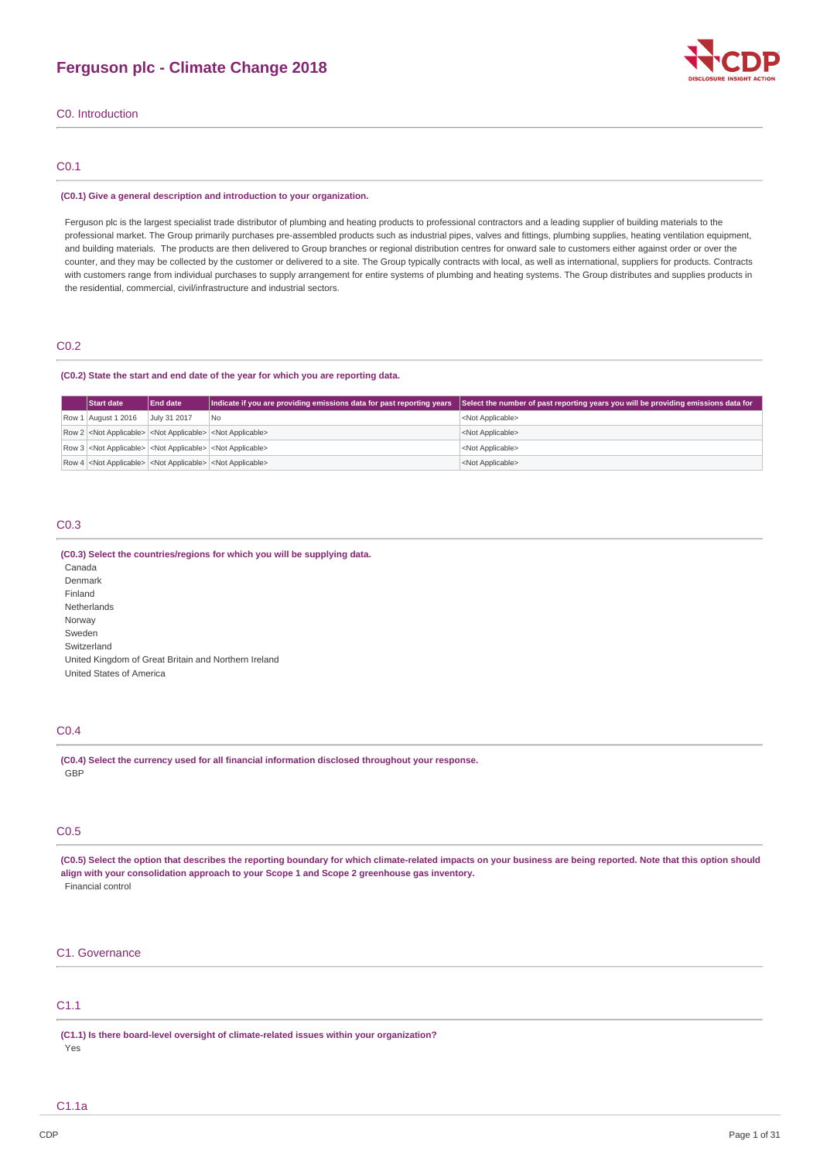

C0. Introduction

# C0.1

#### **(C0.1) Give a general description and introduction to your organization.**

Ferguson plc is the largest specialist trade distributor of plumbing and heating products to professional contractors and a leading supplier of building materials to the professional market. The Group primarily purchases pre-assembled products such as industrial pipes, valves and fittings, plumbing supplies, heating ventilation equipment, and building materials. The products are then delivered to Group branches or regional distribution centres for onward sale to customers either against order or over the counter, and they may be collected by the customer or delivered to a site. The Group typically contracts with local, as well as international, suppliers for products. Contracts with customers range from individual purchases to supply arrangement for entire systems of plumbing and heating systems. The Group distributes and supplies products in the residential, commercial, civil/infrastructure and industrial sectors.

# C0.2

## **(C0.2) State the start and end date of the year for which you are reporting data.**

| <b>Start date</b>                                                                   | <b>End date</b> | Indicate if you are providing emissions data for past reporting years | Select the number of past reporting years you will be providing emissions data for |
|-------------------------------------------------------------------------------------|-----------------|-----------------------------------------------------------------------|------------------------------------------------------------------------------------|
| Row 1 August 1 2016                                                                 | July 31 2017    | No                                                                    | <not applicable=""></not>                                                          |
| Row 2 <not applicable=""> <not applicable=""> <not applicable=""></not></not></not> |                 |                                                                       | <not applicable=""></not>                                                          |
| Row 3 <not applicable=""> <not applicable=""> <not applicable=""></not></not></not> |                 |                                                                       | <not applicable=""></not>                                                          |
| Row 4 <not applicable=""> <not applicable=""> <not applicable=""></not></not></not> |                 |                                                                       | <not applicable=""></not>                                                          |

## C0.3

## **(C0.3) Select the countries/regions for which you will be supplying data.**

Canada Denmark Finland Netherlands Norway Sweden Switzerland United Kingdom of Great Britain and Northern Ireland United States of America

# C0.4

**(C0.4) Select the currency used for all financial information disclosed throughout your response.** GBP

## C0.5

(C0.5) Select the option that describes the reporting boundary for which climate-related impacts on your business are being reported. Note that this option should **align with your consolidation approach to your Scope 1 and Scope 2 greenhouse gas inventory.** Financial control

# C1. Governance

# C1.1

**(C1.1) Is there board-level oversight of climate-related issues within your organization?**

Yes

C1.1a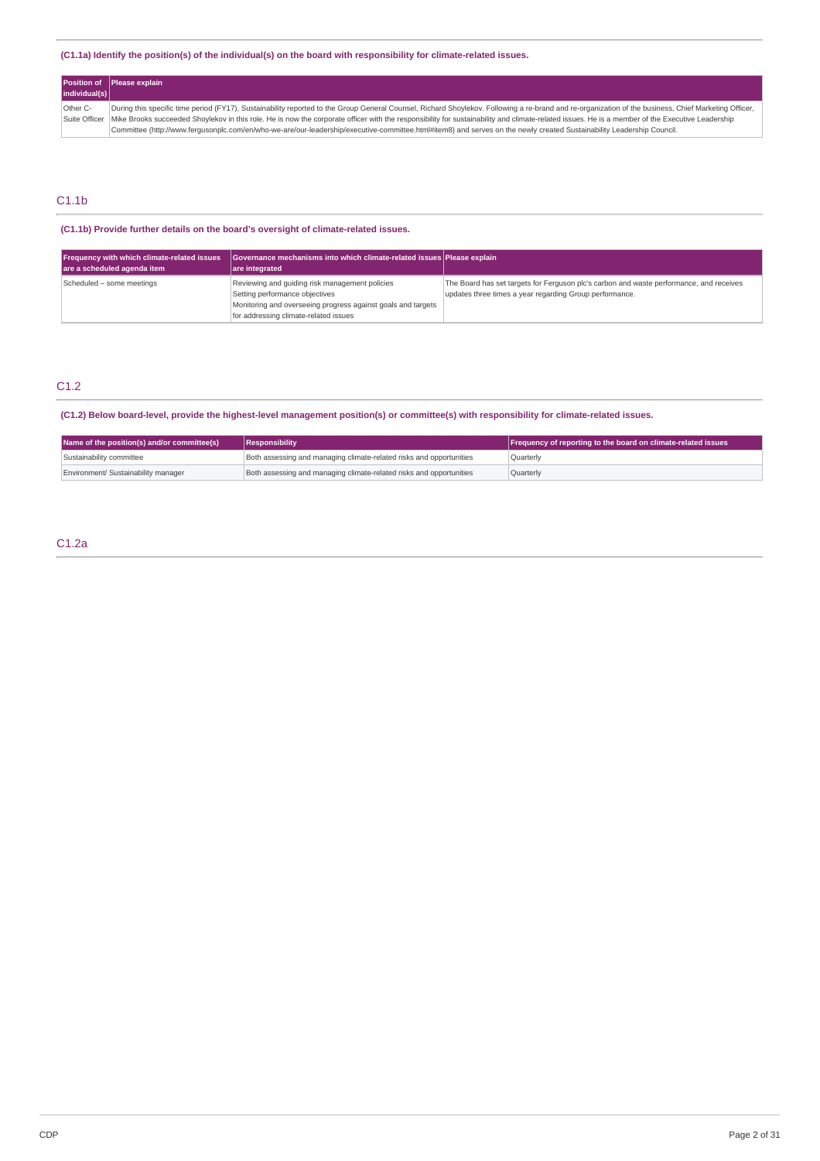## **(C1.1a) Identify the position(s) of the individual(s) on the board with responsibility for climate-related issues.**

| individual(s) | Position of Please explain                                                                                                                                                                                      |
|---------------|-----------------------------------------------------------------------------------------------------------------------------------------------------------------------------------------------------------------|
| Other C-      | During this specific time period (FY17), Sustainability reported to the Group General Counsel, Richard Shoylekov. Following a re-brand and re-organization of the business, Chief Marketing Officer,            |
|               | Suite Officer   Mike Brooks succeeded Shoylekov in this role. He is now the corporate officer with the responsibility for sustainability and climate-related issues. He is a member of the Executive Leadership |
|               | Committee (http://www.ferqusonplc.com/en/who-we-are/our-leadership/executive-committee.html#item8) and serves on the newly created Sustainability Leadership Council.                                           |

# C1.1b

**(C1.1b) Provide further details on the board's oversight of climate-related issues.**

| Frequency with which climate-related issues<br>are a scheduled agenda item | Governance mechanisms into which climate-related issues Please explain<br>are integrated                                                                                                  |                                                                                                                                                    |
|----------------------------------------------------------------------------|-------------------------------------------------------------------------------------------------------------------------------------------------------------------------------------------|----------------------------------------------------------------------------------------------------------------------------------------------------|
| Scheduled - some meetings                                                  | Reviewing and quiding risk management policies<br>Setting performance objectives<br>Monitoring and overseeing progress against goals and targets<br>for addressing climate-related issues | The Board has set targets for Ferguson plc's carbon and waste performance, and receives<br>updates three times a year regarding Group performance. |

# C1.2

(C1.2) Below board-level, provide the highest-level management position(s) or committee(s) with responsibility for climate-related issues.

| Name of the position(s) and/or committee(s) | Responsibility                                                      | Frequency of reporting to the board on climate-related issues |  |
|---------------------------------------------|---------------------------------------------------------------------|---------------------------------------------------------------|--|
| Sustainability committee                    | Both assessing and managing climate-related risks and opportunities | Ouarterly                                                     |  |
| Environment/ Sustainability manager         | Both assessing and managing climate-related risks and opportunities | Quarterly                                                     |  |

# C1.2a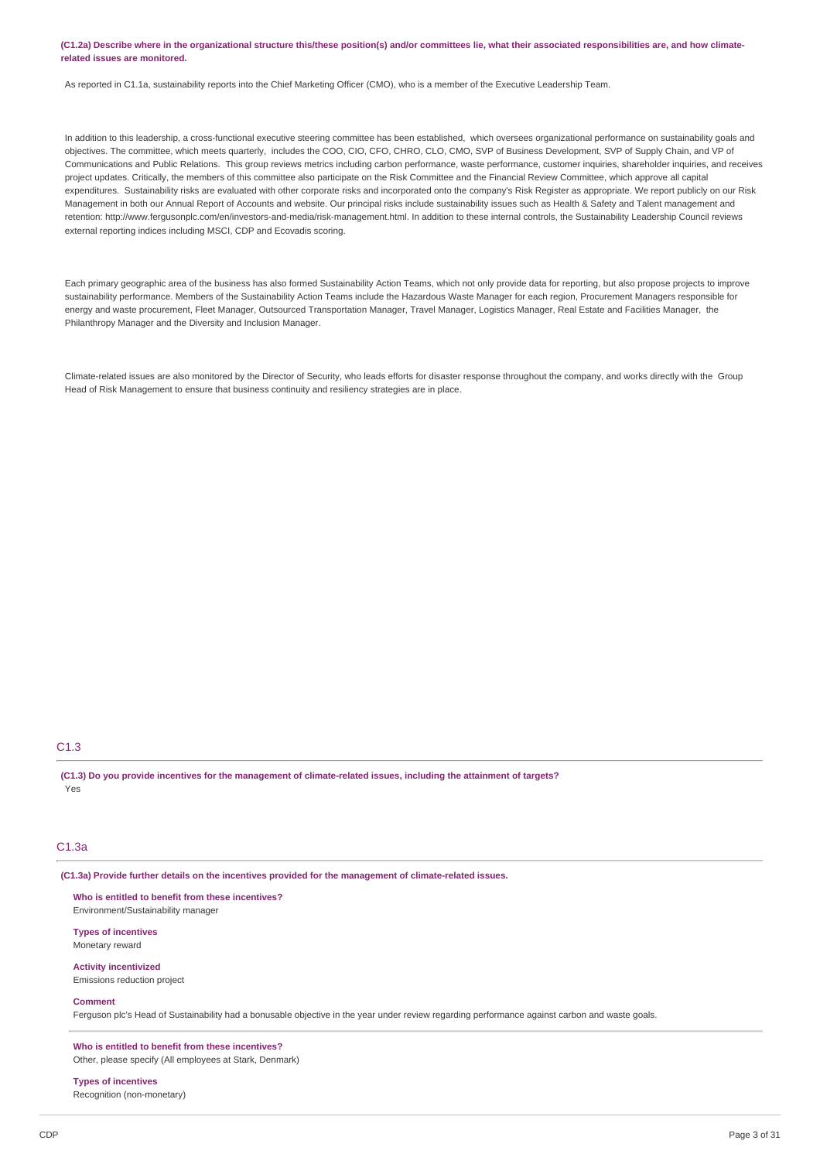### (C1.2a) Describe where in the organizational structure this/these position(s) and/or committees lie, what their associated responsibilities are, and how climate**related issues are monitored.**

As reported in C1.1a, sustainability reports into the Chief Marketing Officer (CMO), who is a member of the Executive Leadership Team.

In addition to this leadership, a cross-functional executive steering committee has been established, which oversees organizational performance on sustainability goals and objectives. The committee, which meets quarterly, includes the COO, CIO, CFO, CHRO, CLO, CMO, SVP of Business Development, SVP of Supply Chain, and VP of Communications and Public Relations. This group reviews metrics including carbon performance, waste performance, customer inquiries, shareholder inquiries, and receives project updates. Critically, the members of this committee also participate on the Risk Committee and the Financial Review Committee, which approve all capital expenditures. Sustainability risks are evaluated with other corporate risks and incorporated onto the company's Risk Register as appropriate. We report publicly on our Risk Management in both our Annual Report of Accounts and website. Our principal risks include sustainability issues such as Health & Safety and Talent management and retention: http://www.fergusonplc.com/en/investors-and-media/risk-management.html. In addition to these internal controls, the Sustainability Leadership Council reviews external reporting indices including MSCI, CDP and Ecovadis scoring.

Each primary geographic area of the business has also formed Sustainability Action Teams, which not only provide data for reporting, but also propose projects to improve sustainability performance. Members of the Sustainability Action Teams include the Hazardous Waste Manager for each region, Procurement Managers responsible for energy and waste procurement, Fleet Manager, Outsourced Transportation Manager, Travel Manager, Logistics Manager, Real Estate and Facilities Manager, the Philanthropy Manager and the Diversity and Inclusion Manager.

Climate-related issues are also monitored by the Director of Security, who leads efforts for disaster response throughout the company, and works directly with the Group Head of Risk Management to ensure that business continuity and resiliency strategies are in place.

## C1.3

(C1.3) Do you provide incentives for the management of climate-related issues, including the attainment of targets? Yes

#### C1.3a

**(C1.3a) Provide further details on the incentives provided for the management of climate-related issues.**

**Who is entitled to benefit from these incentives?** Environment/Sustainability manager

**Types of incentives** Monetary reward

**Activity incentivized** Emissions reduction project

#### **Comment**

Ferguson plc's Head of Sustainability had a bonusable objective in the year under review regarding performance against carbon and waste goals.

**Who is entitled to benefit from these incentives?** Other, please specify (All employees at Stark, Denmark)

**Types of incentives** Recognition (non-monetary)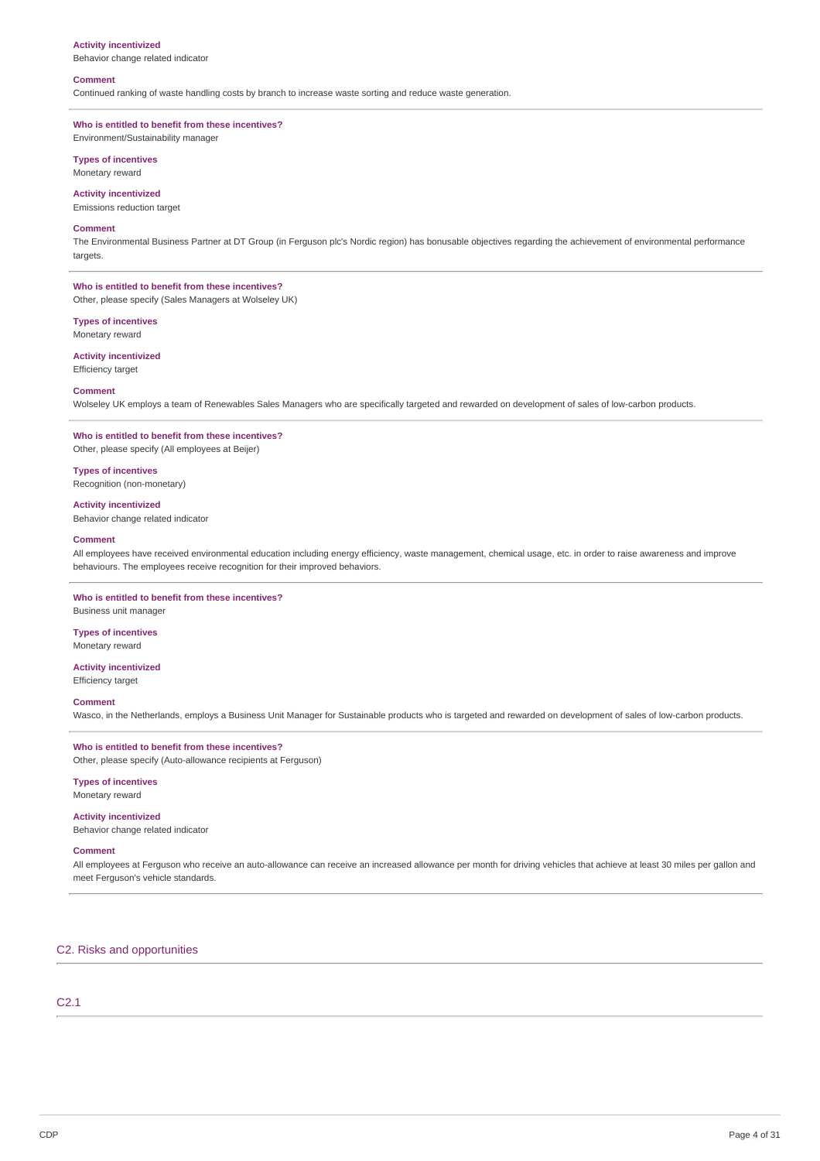#### **Activity incentivized**

Behavior change related indicator

## **Comment**

Continued ranking of waste handling costs by branch to increase waste sorting and reduce waste generation.

# **Who is entitled to benefit from these incentives?**

Environment/Sustainability manager

# **Types of incentives**

Monetary reward

# **Activity incentivized**

Emissions reduction target

#### **Comment**

The Environmental Business Partner at DT Group (in Ferguson plc's Nordic region) has bonusable objectives regarding the achievement of environmental performance targets.

### **Who is entitled to benefit from these incentives?** Other, please specify (Sales Managers at Wolseley UK)

**Types of incentives**

## Monetary reward

**Activity incentivized**

Efficiency target

# **Comment**

Wolseley UK employs a team of Renewables Sales Managers who are specifically targeted and rewarded on development of sales of low-carbon products.

# **Who is entitled to benefit from these incentives?**

Other, please specify (All employees at Beijer)

## **Types of incentives**

Recognition (non-monetary)

### **Activity incentivized**

Behavior change related indicator

#### **Comment**

All employees have received environmental education including energy efficiency, waste management, chemical usage, etc. in order to raise awareness and improve behaviours. The employees receive recognition for their improved behaviors.

## **Who is entitled to benefit from these incentives?**

Business unit manager

### **Types of incentives** Monetary reward

### **Activity incentivized** Efficiency target

## **Comment**

Wasco, in the Netherlands, employs a Business Unit Manager for Sustainable products who is targeted and rewarded on development of sales of low-carbon products.

## **Who is entitled to benefit from these incentives?** Other, please specify (Auto-allowance recipients at Ferguson)

**Types of incentives**

Monetary reward

### **Activity incentivized** Behavior change related indicator

# **Comment**

All employees at Ferguson who receive an auto-allowance can receive an increased allowance per month for driving vehicles that achieve at least 30 miles per gallon and meet Ferguson's vehicle standards.

## C2. Risks and opportunities

# C2.1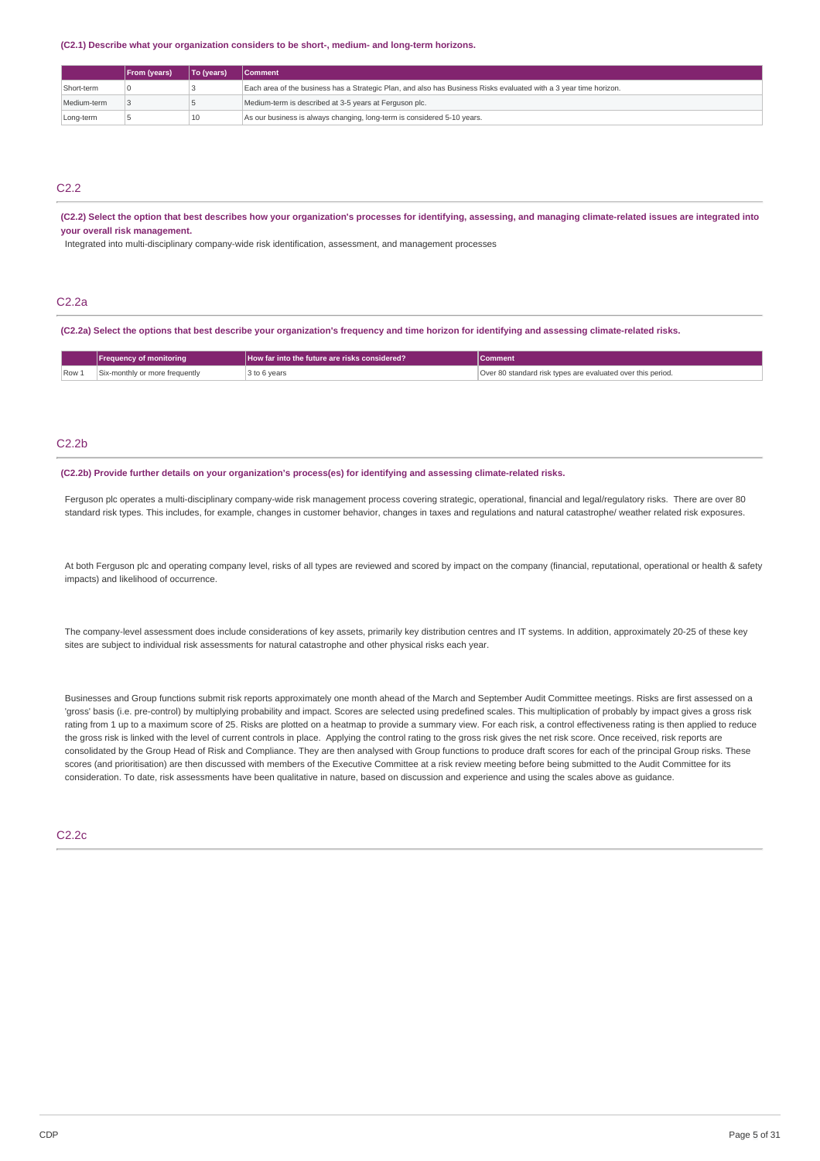#### **(C2.1) Describe what your organization considers to be short-, medium- and long-term horizons.**

|                                                                                            | <b>From (years)</b>                                                                                               | To (years) | I Comment                                              |  |
|--------------------------------------------------------------------------------------------|-------------------------------------------------------------------------------------------------------------------|------------|--------------------------------------------------------|--|
| Short-term                                                                                 | Each area of the business has a Strategic Plan, and also has Business Risks evaluated with a 3 year time horizon. |            |                                                        |  |
| Medium-term                                                                                |                                                                                                                   |            | Medium-term is described at 3-5 years at Ferguson plc. |  |
| As our business is always changing, long-term is considered 5-10 years.<br>10<br>Long-term |                                                                                                                   |            |                                                        |  |

## C<sub>2.2</sub>

(C2.2) Select the option that best describes how your organization's processes for identifying, assessing, and managing climate-related issues are integrated into **your overall risk management.**

Integrated into multi-disciplinary company-wide risk identification, assessment, and management processes

# C2.2a

(C2.2a) Select the options that best describe your organization's frequency and time horizon for identifying and assessing climate-related risks.

|       | <b>Frequency of monitoring</b> | How far into the future are risks considered? | Comment                                                     |
|-------|--------------------------------|-----------------------------------------------|-------------------------------------------------------------|
| Row 1 | Six-monthly or more frequently | २ to 6 years                                  | Over 80 standard risk types are evaluated over this period. |

## $C2.2<sub>b</sub>$

### **(C2.2b) Provide further details on your organization's process(es) for identifying and assessing climate-related risks.**

Ferguson plc operates a multi-disciplinary company-wide risk management process covering strategic, operational, financial and legal/regulatory risks. There are over 80 standard risk types. This includes, for example, changes in customer behavior, changes in taxes and regulations and natural catastrophe/ weather related risk exposures.

At both Ferguson plc and operating company level, risks of all types are reviewed and scored by impact on the company (financial, reputational, operational or health & safety impacts) and likelihood of occurrence.

The company-level assessment does include considerations of key assets, primarily key distribution centres and IT systems. In addition, approximately 20-25 of these key sites are subject to individual risk assessments for natural catastrophe and other physical risks each year.

Businesses and Group functions submit risk reports approximately one month ahead of the March and September Audit Committee meetings. Risks are first assessed on a 'gross' basis (i.e. pre-control) by multiplying probability and impact. Scores are selected using predefined scales. This multiplication of probably by impact gives a gross risk rating from 1 up to a maximum score of 25. Risks are plotted on a heatmap to provide a summary view. For each risk, a control effectiveness rating is then applied to reduce the gross risk is linked with the level of current controls in place. Applying the control rating to the gross risk gives the net risk score. Once received, risk reports are consolidated by the Group Head of Risk and Compliance. They are then analysed with Group functions to produce draft scores for each of the principal Group risks. These scores (and prioritisation) are then discussed with members of the Executive Committee at a risk review meeting before being submitted to the Audit Committee for its consideration. To date, risk assessments have been qualitative in nature, based on discussion and experience and using the scales above as guidance.

## C2.2c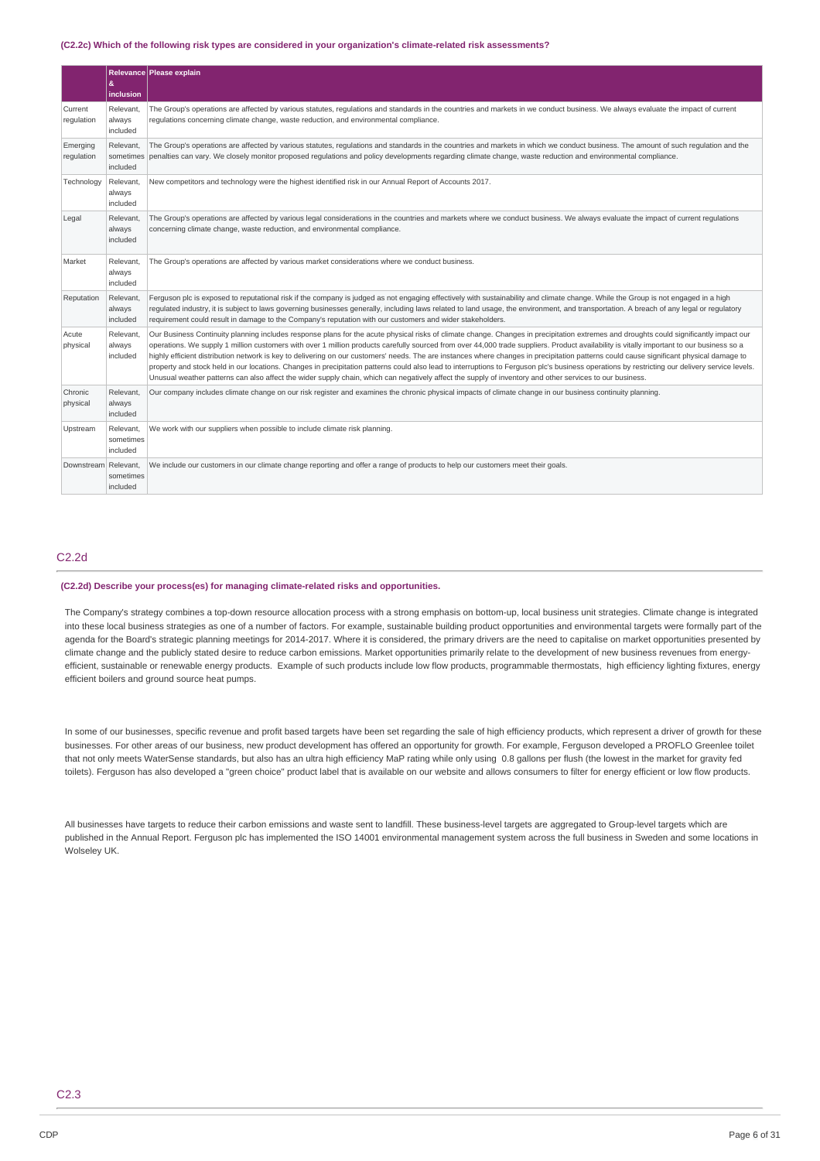#### **(C2.2c) Which of the following risk types are considered in your organization's climate-related risk assessments?**

|                        | &<br>inclusion                     | Relevance Please explain                                                                                                                                                                                                                                                                                                                                                                                                                                                                                                                                                                                                                                                                                                                                                                                                                                                                                                                      |
|------------------------|------------------------------------|-----------------------------------------------------------------------------------------------------------------------------------------------------------------------------------------------------------------------------------------------------------------------------------------------------------------------------------------------------------------------------------------------------------------------------------------------------------------------------------------------------------------------------------------------------------------------------------------------------------------------------------------------------------------------------------------------------------------------------------------------------------------------------------------------------------------------------------------------------------------------------------------------------------------------------------------------|
| Current<br>regulation  | Relevant.<br>always<br>included    | The Group's operations are affected by various statutes, regulations and standards in the countries and markets in we conduct business. We always evaluate the impact of current<br>requlations concerning climate change, waste reduction, and environmental compliance.                                                                                                                                                                                                                                                                                                                                                                                                                                                                                                                                                                                                                                                                     |
| Emerging<br>regulation | Relevant,<br>sometimes<br>included | The Group's operations are affected by various statutes, regulations and standards in the countries and markets in which we conduct business. The amount of such regulation and the<br>penalties can vary. We closely monitor proposed requlations and policy developments regarding climate change, waste reduction and environmental compliance.                                                                                                                                                                                                                                                                                                                                                                                                                                                                                                                                                                                            |
| Technology             | Relevant.<br>always<br>included    | New competitors and technology were the highest identified risk in our Annual Report of Accounts 2017.                                                                                                                                                                                                                                                                                                                                                                                                                                                                                                                                                                                                                                                                                                                                                                                                                                        |
| Legal                  | Relevant.<br>always<br>included    | The Group's operations are affected by various legal considerations in the countries and markets where we conduct business. We always evaluate the impact of current regulations<br>concerning climate change, waste reduction, and environmental compliance.                                                                                                                                                                                                                                                                                                                                                                                                                                                                                                                                                                                                                                                                                 |
| Market                 | Relevant,<br>always<br>included    | The Group's operations are affected by various market considerations where we conduct business.                                                                                                                                                                                                                                                                                                                                                                                                                                                                                                                                                                                                                                                                                                                                                                                                                                               |
| Reputation             | Relevant,<br>always<br>included    | Ferguson plc is exposed to reputational risk if the company is judged as not engaging effectively with sustainability and climate change. While the Group is not engaged in a high<br>regulated industry, it is subject to laws governing businesses generally, including laws related to land usage, the environment, and transportation. A breach of any legal or regulatory<br>requirement could result in damage to the Company's reputation with our customers and wider stakeholders.                                                                                                                                                                                                                                                                                                                                                                                                                                                   |
| Acute<br>physical      | Relevant.<br>always<br>included    | Our Business Continuity planning includes response plans for the acute physical risks of climate change. Changes in precipitation extremes and droughts could significantly impact our<br>operations. We supply 1 million customers with over 1 million products carefully sourced from over 44,000 trade suppliers. Product availability is vitally important to our business so a<br>highly efficient distribution network is key to delivering on our customers' needs. The are instances where changes in precipitation patterns could cause significant physical damage to<br>property and stock held in our locations. Changes in precipitation patterns could also lead to interruptions to Ferguson plc's business operations by restricting our delivery service levels.<br>Unusual weather patterns can also affect the wider supply chain, which can negatively affect the supply of inventory and other services to our business. |
| Chronic<br>physical    | Relevant.<br>always<br>included    | Our company includes climate change on our risk register and examines the chronic physical impacts of climate change in our business continuity planning.                                                                                                                                                                                                                                                                                                                                                                                                                                                                                                                                                                                                                                                                                                                                                                                     |
| Upstream               | Relevant,<br>sometimes<br>included | We work with our suppliers when possible to include climate risk planning.                                                                                                                                                                                                                                                                                                                                                                                                                                                                                                                                                                                                                                                                                                                                                                                                                                                                    |
| Downstream Relevant.   | sometimes<br>included              | We include our customers in our climate change reporting and offer a range of products to help our customers meet their goals.                                                                                                                                                                                                                                                                                                                                                                                                                                                                                                                                                                                                                                                                                                                                                                                                                |

## C2.2d

## **(C2.2d) Describe your process(es) for managing climate-related risks and opportunities.**

The Company's strategy combines a top-down resource allocation process with a strong emphasis on bottom-up, local business unit strategies. Climate change is integrated into these local business strategies as one of a number of factors. For example, sustainable building product opportunities and environmental targets were formally part of the agenda for the Board's strategic planning meetings for 2014-2017. Where it is considered, the primary drivers are the need to capitalise on market opportunities presented by climate change and the publicly stated desire to reduce carbon emissions. Market opportunities primarily relate to the development of new business revenues from energyefficient, sustainable or renewable energy products. Example of such products include low flow products, programmable thermostats, high efficiency lighting fixtures, energy efficient boilers and ground source heat pumps.

In some of our businesses, specific revenue and profit based targets have been set regarding the sale of high efficiency products, which represent a driver of growth for these businesses. For other areas of our business, new product development has offered an opportunity for growth. For example, Ferguson developed a PROFLO Greenlee toilet that not only meets WaterSense standards, but also has an ultra high efficiency MaP rating while only using 0.8 gallons per flush (the lowest in the market for gravity fed toilets). Ferguson has also developed a "green choice" product label that is available on our website and allows consumers to filter for energy efficient or low flow products.

All businesses have targets to reduce their carbon emissions and waste sent to landfill. These business-level targets are aggregated to Group-level targets which are published in the Annual Report. Ferguson plc has implemented the ISO 14001 environmental management system across the full business in Sweden and some locations in Wolseley UK.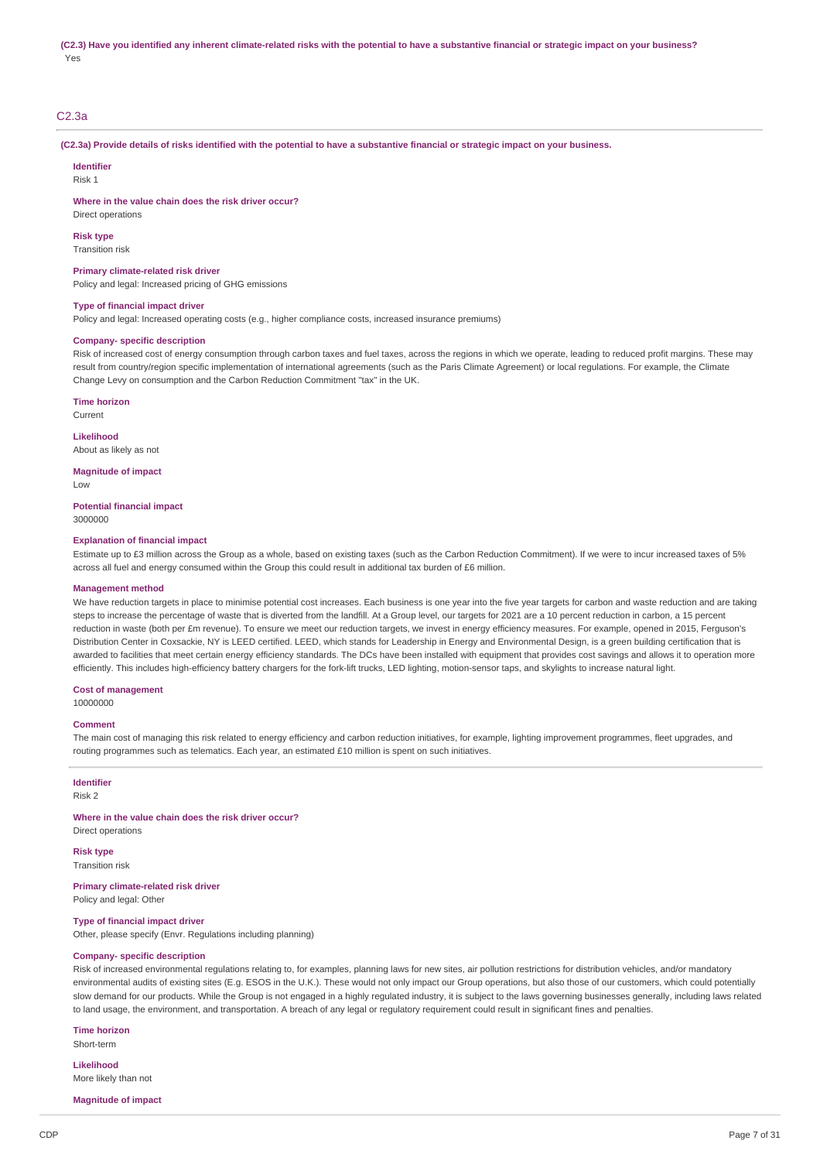# C2.3a

(C2.3a) Provide details of risks identified with the potential to have a substantive financial or strategic impact on your business.

**Identifier**

Risk 1

**Where in the value chain does the risk driver occur?**

Direct operations

**Risk type** Transition risk

#### **Primary climate-related risk driver**

Policy and legal: Increased pricing of GHG emissions

#### **Type of financial impact driver**

Policy and legal: Increased operating costs (e.g., higher compliance costs, increased insurance premiums)

## **Company- specific description**

Risk of increased cost of energy consumption through carbon taxes and fuel taxes, across the regions in which we operate, leading to reduced profit margins. These may result from country/region specific implementation of international agreements (such as the Paris Climate Agreement) or local regulations. For example, the Climate Change Levy on consumption and the Carbon Reduction Commitment "tax" in the UK.

**Time horizon**

Current

## **Likelihood**

About as likely as not

**Magnitude of impact**

Low

#### **Potential financial impact** 3000000

### **Explanation of financial impact**

Estimate up to £3 million across the Group as a whole, based on existing taxes (such as the Carbon Reduction Commitment). If we were to incur increased taxes of 5% across all fuel and energy consumed within the Group this could result in additional tax burden of £6 million.

#### **Management method**

We have reduction targets in place to minimise potential cost increases. Each business is one year into the five year targets for carbon and waste reduction and are taking steps to increase the percentage of waste that is diverted from the landfill. At a Group level, our targets for 2021 are a 10 percent reduction in carbon, a 15 percent reduction in waste (both per £m revenue). To ensure we meet our reduction targets, we invest in energy efficiency measures. For example, opened in 2015, Ferguson's Distribution Center in Coxsackie, NY is LEED certified. LEED, which stands for Leadership in Energy and Environmental Design, is a green building certification that is awarded to facilities that meet certain energy efficiency standards. The DCs have been installed with equipment that provides cost savings and allows it to operation more efficiently. This includes high-efficiency battery chargers for the fork-lift trucks, LED lighting, motion-sensor taps, and skylights to increase natural light.

## **Cost of management**

10000000

#### **Comment**

The main cost of managing this risk related to energy efficiency and carbon reduction initiatives, for example, lighting improvement programmes, fleet upgrades, and routing programmes such as telematics. Each year, an estimated £10 million is spent on such initiatives.

#### **Identifier** Risk 2

**Where in the value chain does the risk driver occur?** Direct operations

**Risk type** Transition risk

# **Primary climate-related risk driver**

Policy and legal: Other

**Type of financial impact driver** Other, please specify (Envr. Regulations including planning)

# **Company- specific description**

Risk of increased environmental regulations relating to, for examples, planning laws for new sites, air pollution restrictions for distribution vehicles, and/or mandatory environmental audits of existing sites (E.g. ESOS in the U.K.). These would not only impact our Group operations, but also those of our customers, which could potentially slow demand for our products. While the Group is not engaged in a highly regulated industry, it is subject to the laws governing businesses generally, including laws related to land usage, the environment, and transportation. A breach of any legal or regulatory requirement could result in significant fines and penalties.

#### **Time horizon**

Short-term

**Likelihood** More likely than not

**Magnitude of impact**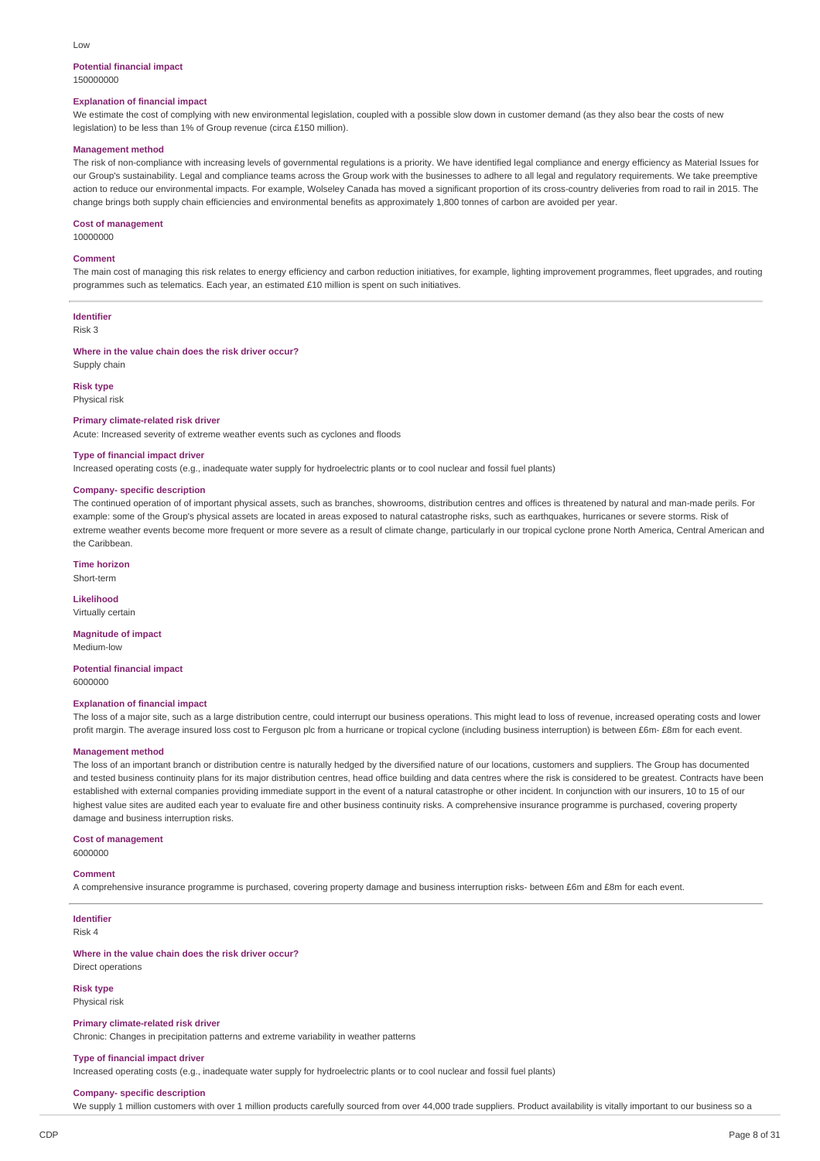#### Low

#### **Potential financial impact** 150000000

## **Explanation of financial impact**

We estimate the cost of complying with new environmental legislation, coupled with a possible slow down in customer demand (as they also bear the costs of new legislation) to be less than 1% of Group revenue (circa £150 million).

#### **Management method**

The risk of non-compliance with increasing levels of governmental regulations is a priority. We have identified legal compliance and energy efficiency as Material Issues for our Group's sustainability. Legal and compliance teams across the Group work with the businesses to adhere to all legal and regulatory requirements. We take preemptive action to reduce our environmental impacts. For example, Wolseley Canada has moved a significant proportion of its cross-country deliveries from road to rail in 2015. The change brings both supply chain efficiencies and environmental benefits as approximately 1,800 tonnes of carbon are avoided per year.

#### **Cost of management**

10000000

### **Comment**

The main cost of managing this risk relates to energy efficiency and carbon reduction initiatives, for example, lighting improvement programmes, fleet upgrades, and routing programmes such as telematics. Each year, an estimated £10 million is spent on such initiatives.

# **Identifier**

Risk 3

# **Where in the value chain does the risk driver occur?**

Supply chain

### **Risk type** Physical risk

# **Primary climate-related risk driver**

Acute: Increased severity of extreme weather events such as cyclones and floods

#### **Type of financial impact driver**

Increased operating costs (e.g., inadequate water supply for hydroelectric plants or to cool nuclear and fossil fuel plants)

## **Company- specific description**

The continued operation of of important physical assets, such as branches, showrooms, distribution centres and offices is threatened by natural and man-made perils. For example: some of the Group's physical assets are located in areas exposed to natural catastrophe risks, such as earthquakes, hurricanes or severe storms. Risk of extreme weather events become more frequent or more severe as a result of climate change, particularly in our tropical cyclone prone North America, Central American and the Caribbean.

**Time horizon** Short-term

## **Likelihood** Virtually certain

#### **Magnitude of impact** Medium-low

**Potential financial impact** 6000000

### **Explanation of financial impact**

The loss of a major site, such as a large distribution centre, could interrupt our business operations. This might lead to loss of revenue, increased operating costs and lower profit margin. The average insured loss cost to Ferguson plc from a hurricane or tropical cyclone (including business interruption) is between £6m- £8m for each event.

#### **Management method**

The loss of an important branch or distribution centre is naturally hedged by the diversified nature of our locations, customers and suppliers. The Group has documented and tested business continuity plans for its major distribution centres, head office building and data centres where the risk is considered to be greatest. Contracts have been established with external companies providing immediate support in the event of a natural catastrophe or other incident. In conjunction with our insurers, 10 to 15 of our highest value sites are audited each year to evaluate fire and other business continuity risks. A comprehensive insurance programme is purchased, covering property damage and business interruption risks.

## **Cost of management**

6000000

### **Comment**

A comprehensive insurance programme is purchased, covering property damage and business interruption risks- between £6m and £8m for each event.

#### **Identifier** Risk 4

**Where in the value chain does the risk driver occur?**

# Direct operations

**Risk type** Physical risk

#### **Primary climate-related risk driver**

Chronic: Changes in precipitation patterns and extreme variability in weather patterns

#### **Type of financial impact driver**

Increased operating costs (e.g., inadequate water supply for hydroelectric plants or to cool nuclear and fossil fuel plants)

#### **Company- specific description**

We supply 1 million customers with over 1 million products carefully sourced from over 44,000 trade suppliers. Product availability is vitally important to our business so a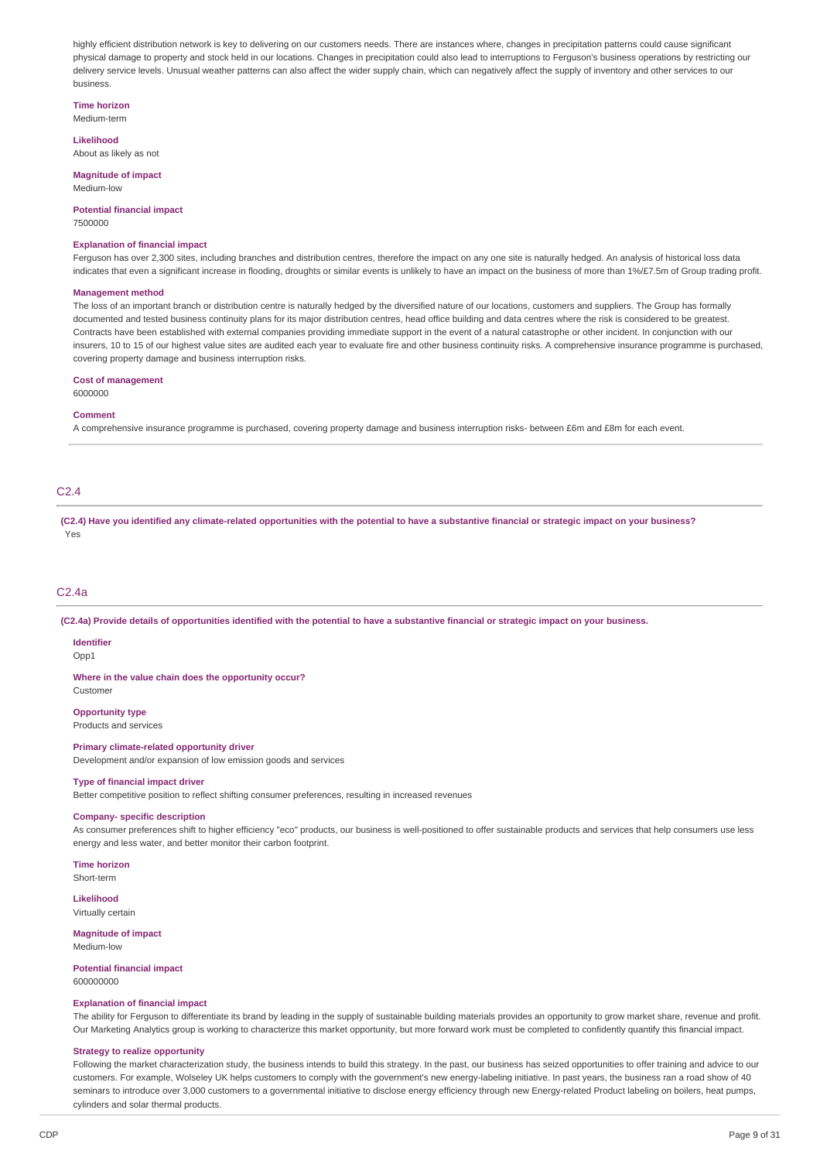highly efficient distribution network is key to delivering on our customers needs. There are instances where, changes in precipitation patterns could cause significant physical damage to property and stock held in our locations. Changes in precipitation could also lead to interruptions to Ferguson's business operations by restricting our delivery service levels. Unusual weather patterns can also affect the wider supply chain, which can negatively affect the supply of inventory and other services to our business.

**Time horizon** Medium-term

**Likelihood**

About as likely as not

**Magnitude of impact** Medium-low

**Potential financial impact** 7500000

#### **Explanation of financial impact**

Ferguson has over 2,300 sites, including branches and distribution centres, therefore the impact on any one site is naturally hedged. An analysis of historical loss data indicates that even a significant increase in flooding, droughts or similar events is unlikely to have an impact on the business of more than 1%/£7.5m of Group trading profit.

#### **Management method**

The loss of an important branch or distribution centre is naturally hedged by the diversified nature of our locations, customers and suppliers. The Group has formally documented and tested business continuity plans for its major distribution centres, head office building and data centres where the risk is considered to be greatest. Contracts have been established with external companies providing immediate support in the event of a natural catastrophe or other incident. In conjunction with our insurers, 10 to 15 of our highest value sites are audited each year to evaluate fire and other business continuity risks. A comprehensive insurance programme is purchased, covering property damage and business interruption risks.

#### **Cost of management**

6000000

#### **Comment**

A comprehensive insurance programme is purchased, covering property damage and business interruption risks- between £6m and £8m for each event.

## C2.4

(C2.4) Have you identified any climate-related opportunities with the potential to have a substantive financial or strategic impact on your business? Yes

## C2.4a

(C2.4a) Provide details of opportunities identified with the potential to have a substantive financial or strategic impact on your business.

# **Identifier**

Opp1

## **Where in the value chain does the opportunity occur?**

Customer

# **Opportunity type**

Products and services

# **Primary climate-related opportunity driver**

Development and/or expansion of low emission goods and services

## **Type of financial impact driver**

Better competitive position to reflect shifting consumer preferences, resulting in increased revenues

## **Company- specific description**

As consumer preferences shift to higher efficiency "eco" products, our business is well-positioned to offer sustainable products and services that help consumers use less energy and less water, and better monitor their carbon footprint.

**Time horizon**

Short-term **Likelihood**

Virtually certain

#### **Magnitude of impact** Medium-low

### **Potential financial impact** 600000000

#### **Explanation of financial impact**

The ability for Ferguson to differentiate its brand by leading in the supply of sustainable building materials provides an opportunity to grow market share, revenue and profit. Our Marketing Analytics group is working to characterize this market opportunity, but more forward work must be completed to confidently quantify this financial impact.

#### **Strategy to realize opportunity**

Following the market characterization study, the business intends to build this strategy. In the past, our business has seized opportunities to offer training and advice to our customers. For example, Wolseley UK helps customers to comply with the government's new energy-labeling initiative. In past years, the business ran a road show of 40 seminars to introduce over 3,000 customers to a governmental initiative to disclose energy efficiency through new Energy-related Product labeling on boilers, heat pumps, cylinders and solar thermal products.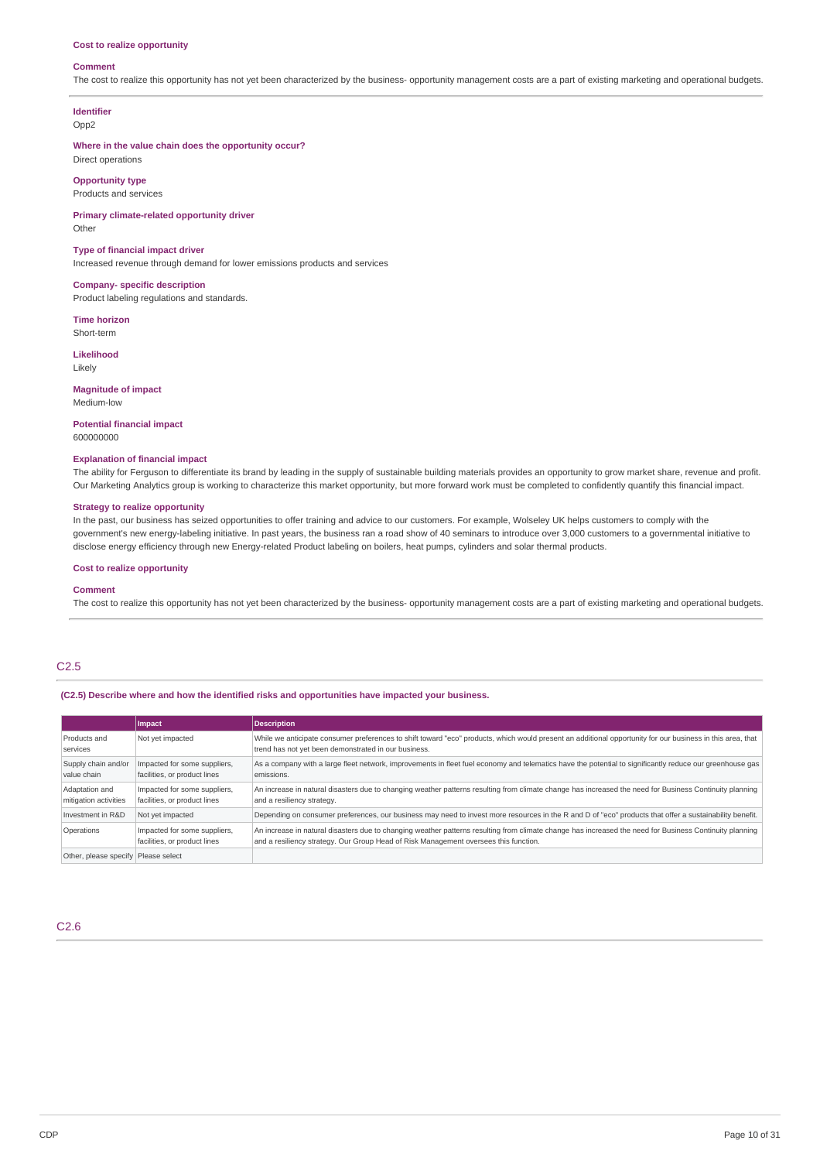#### **Cost to realize opportunity**

#### **Comment**

The cost to realize this opportunity has not yet been characterized by the business- opportunity management costs are a part of existing marketing and operational budgets.

# **Identifier**

Opp2

## **Where in the value chain does the opportunity occur?** Direct operations

**Opportunity type**

Products and services

**Primary climate-related opportunity driver** Other

## **Type of financial impact driver**

Increased revenue through demand for lower emissions products and services

**Company- specific description** Product labeling regulations and standards.

**Time horizon** Short-term

**Likelihood**

Likely

**Magnitude of impact** Medium-low

**Potential financial impact** 600000000

### **Explanation of financial impact**

The ability for Ferguson to differentiate its brand by leading in the supply of sustainable building materials provides an opportunity to grow market share, revenue and profit. Our Marketing Analytics group is working to characterize this market opportunity, but more forward work must be completed to confidently quantify this financial impact.

### **Strategy to realize opportunity**

In the past, our business has seized opportunities to offer training and advice to our customers. For example, Wolseley UK helps customers to comply with the government's new energy-labeling initiative. In past years, the business ran a road show of 40 seminars to introduce over 3,000 customers to a governmental initiative to disclose energy efficiency through new Energy-related Product labeling on boilers, heat pumps, cylinders and solar thermal products.

### **Cost to realize opportunity**

#### **Comment**

The cost to realize this opportunity has not yet been characterized by the business- opportunity management costs are a part of existing marketing and operational budgets.

## C2.5

**(C2.5) Describe where and how the identified risks and opportunities have impacted your business.**

|                                         | Impact                                                       | <b>Description</b>                                                                                                                                                                                                                              |
|-----------------------------------------|--------------------------------------------------------------|-------------------------------------------------------------------------------------------------------------------------------------------------------------------------------------------------------------------------------------------------|
| Products and<br>services                | Not yet impacted                                             | While we anticipate consumer preferences to shift toward "eco" products, which would present an additional opportunity for our business in this area, that<br>trend has not yet been demonstrated in our business.                              |
| Supply chain and/or<br>value chain      | Impacted for some suppliers,<br>facilities, or product lines | As a company with a large fleet network, improvements in fleet fuel economy and telematics have the potential to significantly reduce our greenhouse gas<br>emissions.                                                                          |
| Adaptation and<br>mitigation activities | Impacted for some suppliers,<br>facilities, or product lines | An increase in natural disasters due to changing weather patterns resulting from climate change has increased the need for Business Continuity planning<br>and a resiliency strategy.                                                           |
| Investment in R&D                       | Not yet impacted                                             | Depending on consumer preferences, our business may need to invest more resources in the R and D of "eco" products that offer a sustainability benefit.                                                                                         |
| Operations                              | Impacted for some suppliers,<br>facilities, or product lines | An increase in natural disasters due to changing weather patterns resulting from climate change has increased the need for Business Continuity planning<br>and a resiliency strategy. Our Group Head of Risk Management oversees this function. |
| Other, please specify Please select     |                                                              |                                                                                                                                                                                                                                                 |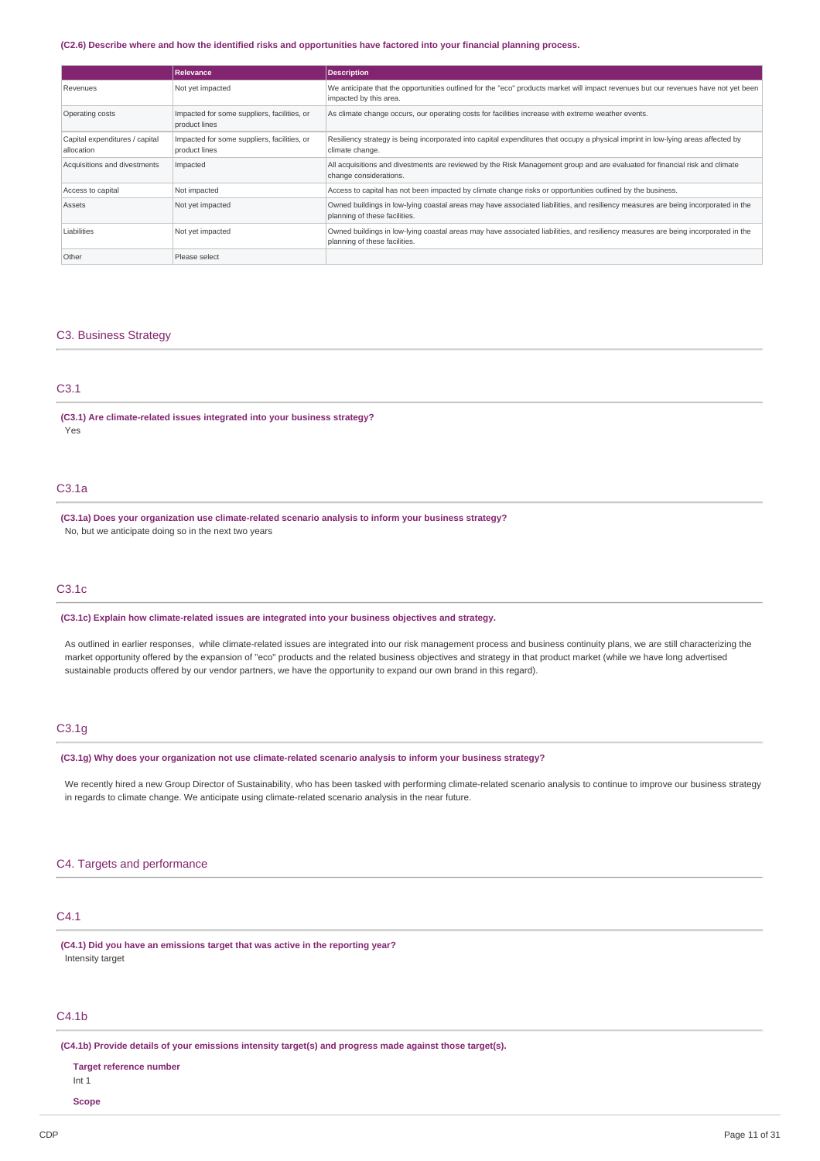### (C2.6) Describe where and how the identified risks and opportunities have factored into your financial planning process.

|                                              | Relevance                                                    | <b>Description</b>                                                                                                                                                 |
|----------------------------------------------|--------------------------------------------------------------|--------------------------------------------------------------------------------------------------------------------------------------------------------------------|
| Revenues                                     | Not yet impacted                                             | We anticipate that the opportunities outlined for the "eco" products market will impact revenues but our revenues have not yet been<br>impacted by this area.      |
| Operating costs                              | Impacted for some suppliers, facilities, or<br>product lines | As climate change occurs, our operating costs for facilities increase with extreme weather events.                                                                 |
| Capital expenditures / capital<br>allocation | Impacted for some suppliers, facilities, or<br>product lines | Resiliency strategy is being incorporated into capital expenditures that occupy a physical imprint in low-lying areas affected by<br>climate change.               |
| Acquisitions and divestments                 | Impacted                                                     | All acquisitions and divestments are reviewed by the Risk Management group and are evaluated for financial risk and climate<br>change considerations.              |
| Access to capital                            | Not impacted                                                 | Access to capital has not been impacted by climate change risks or opportunities outlined by the business.                                                         |
| Assets                                       | Not yet impacted                                             | Owned buildings in low-lying coastal areas may have associated liabilities, and resiliency measures are being incorporated in the<br>planning of these facilities. |
| Liabilities                                  | Not yet impacted                                             | Owned buildings in low-lying coastal areas may have associated liabilities, and resiliency measures are being incorporated in the<br>planning of these facilities. |
| Other                                        | Please select                                                |                                                                                                                                                                    |

### C3. Business Strategy

# C3.1

**(C3.1) Are climate-related issues integrated into your business strategy?** Yes

# C3.1a

**(C3.1a) Does your organization use climate-related scenario analysis to inform your business strategy?** No, but we anticipate doing so in the next two years

# C3.1c

**(C3.1c) Explain how climate-related issues are integrated into your business objectives and strategy.**

As outlined in earlier responses, while climate-related issues are integrated into our risk management process and business continuity plans, we are still characterizing the market opportunity offered by the expansion of "eco" products and the related business objectives and strategy in that product market (while we have long advertised sustainable products offered by our vendor partners, we have the opportunity to expand our own brand in this regard).

## C3.1g

**(C3.1g) Why does your organization not use climate-related scenario analysis to inform your business strategy?**

We recently hired a new Group Director of Sustainability, who has been tasked with performing climate-related scenario analysis to continue to improve our business strategy in regards to climate change. We anticipate using climate-related scenario analysis in the near future.

## C4. Targets and performance

## C4.1

**(C4.1) Did you have an emissions target that was active in the reporting year?** Intensity target

## C4.1b

**(C4.1b) Provide details of your emissions intensity target(s) and progress made against those target(s).**

# **Target reference number** Int 1

**Scope**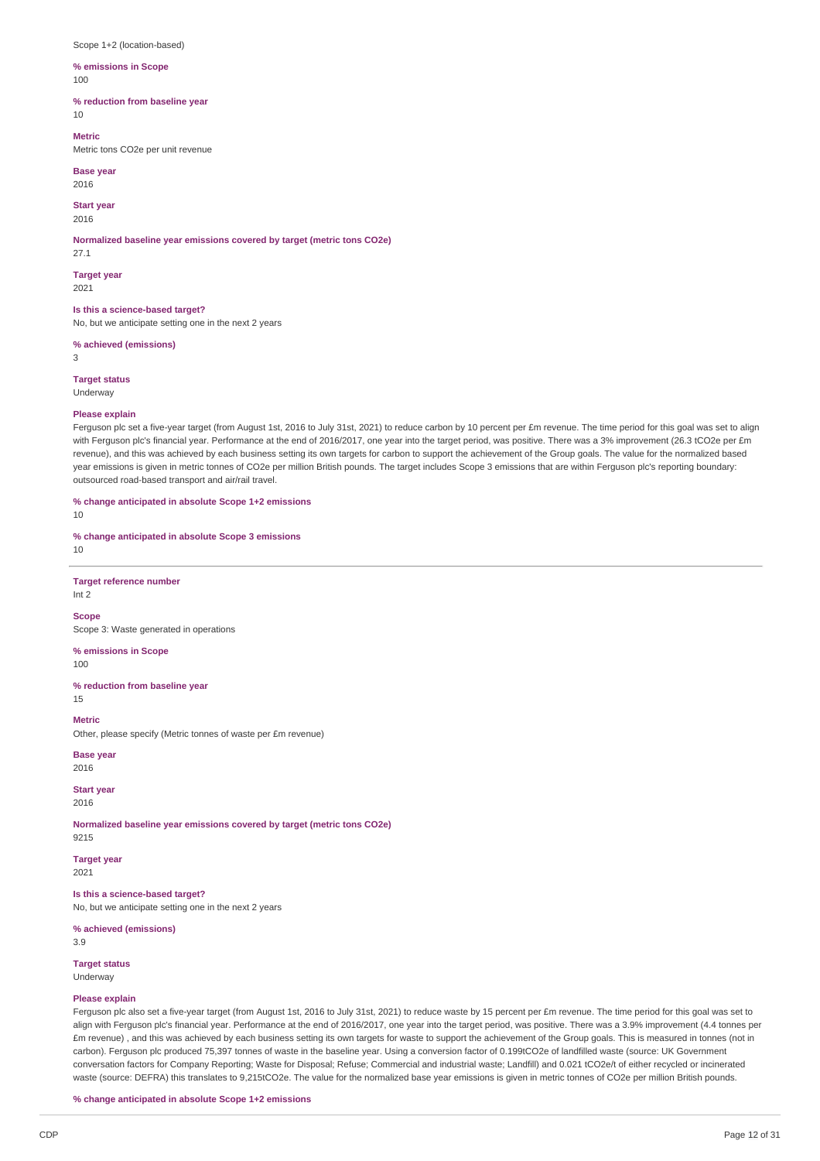Scope 1+2 (location-based)

**% emissions in Scope**  $100$ 

**% reduction from baseline year**

10

**Metric** Metric tons CO2e per unit revenue

**Base year** 2016

**Start year**

2016

**Normalized baseline year emissions covered by target (metric tons CO2e)** 27.1

**Target year**

2021

**Is this a science-based target?** No, but we anticipate setting one in the next 2 years

**% achieved (emissions)**

3

**Target status**

Underway

## **Please explain**

Ferguson plc set a five-year target (from August 1st, 2016 to July 31st, 2021) to reduce carbon by 10 percent per £m revenue. The time period for this goal was set to align with Ferguson plc's financial year. Performance at the end of 2016/2017, one year into the target period, was positive. There was a 3% improvement (26.3 tCO2e per £m revenue), and this was achieved by each business setting its own targets for carbon to support the achievement of the Group goals. The value for the normalized based year emissions is given in metric tonnes of CO2e per million British pounds. The target includes Scope 3 emissions that are within Ferguson plc's reporting boundary: outsourced road-based transport and air/rail travel.

**% change anticipated in absolute Scope 1+2 emissions**

10

**% change anticipated in absolute Scope 3 emissions**

10

**Target reference number** Int 2

**Scope**

Scope 3: Waste generated in operations

**% emissions in Scope**

100

**% reduction from baseline year** 15

**Metric**

Other, please specify (Metric tonnes of waste per £m revenue)

**Base** year 2016

**Start year** 2016

**Normalized baseline year emissions covered by target (metric tons CO2e)** 9215

**Target year**

2021

**Is this a science-based target?**

No, but we anticipate setting one in the next 2 years

**% achieved (emissions)**

3.9

**Target status** Underway

#### **Please explain**

Ferguson plc also set a five-year target (from August 1st, 2016 to July 31st, 2021) to reduce waste by 15 percent per £m revenue. The time period for this goal was set to align with Ferguson plc's financial year. Performance at the end of 2016/2017, one year into the target period, was positive. There was a 3.9% improvement (4.4 tonnes per £m revenue) , and this was achieved by each business setting its own targets for waste to support the achievement of the Group goals. This is measured in tonnes (not in carbon). Ferguson plc produced 75,397 tonnes of waste in the baseline year. Using a conversion factor of 0.199tCO2e of landfilled waste (source: UK Government conversation factors for Company Reporting; Waste for Disposal; Refuse; Commercial and industrial waste; Landfill) and 0.021 tCO2e/t of either recycled or incinerated waste (source: DEFRA) this translates to 9,215tCO2e. The value for the normalized base year emissions is given in metric tonnes of CO2e per million British pounds.

**% change anticipated in absolute Scope 1+2 emissions**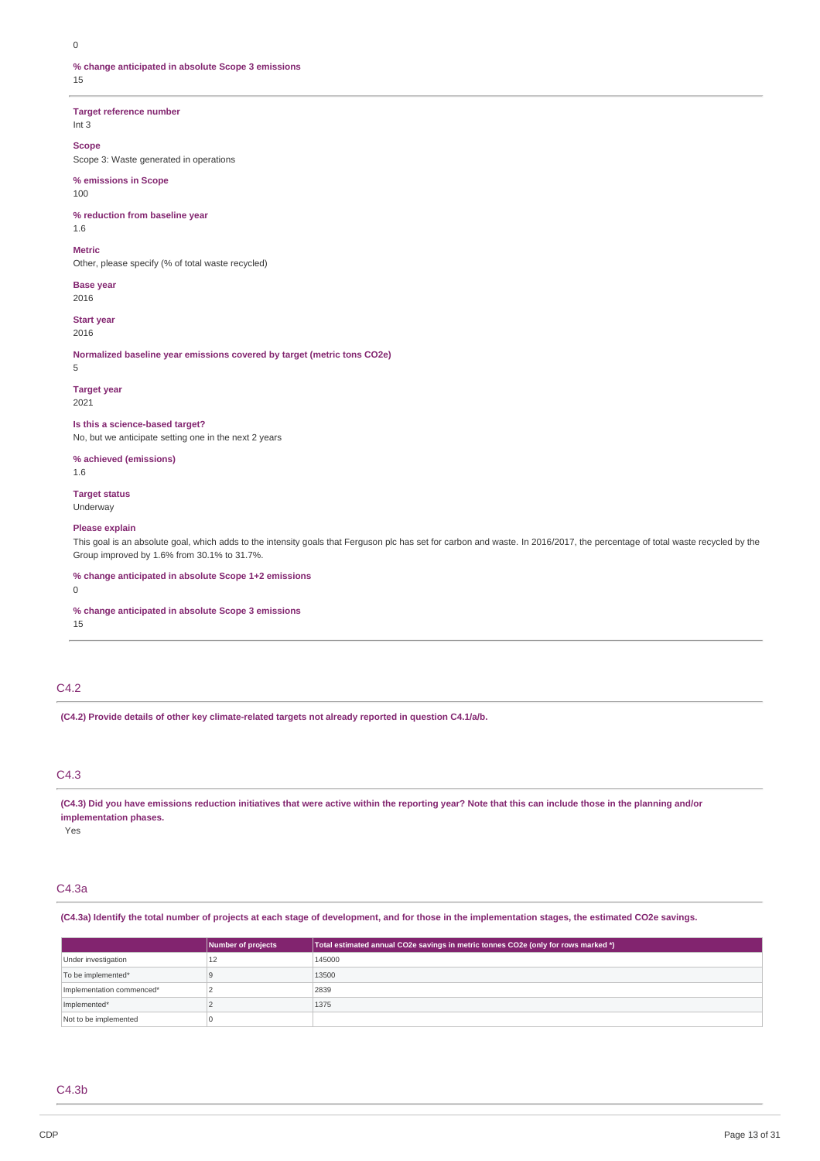$\Omega$ 

**% change anticipated in absolute Scope 3 emissions** 15

**Target reference number**

Int 3

## **Scope**

Scope 3: Waste generated in operations

## **% emissions in Scope**

100

# **% reduction from baseline year**

1.6

## **Metric**

Other, please specify (% of total waste recycled)

**Base year** 2016

**Start year** 2016

**Normalized baseline year emissions covered by target (metric tons CO2e)** 5

# **Target year**

2021

# **Is this a science-based target?**

No, but we anticipate setting one in the next 2 years

## **% achieved (emissions)**

1.6

### **Target status** Underway

## **Please explain**

This goal is an absolute goal, which adds to the intensity goals that Ferguson plc has set for carbon and waste. In 2016/2017, the percentage of total waste recycled by the Group improved by 1.6% from 30.1% to 31.7%.

### **% change anticipated in absolute Scope 1+2 emissions**

 $\Omega$ 

## **% change anticipated in absolute Scope 3 emissions**

15

# C4.2

**(C4.2) Provide details of other key climate-related targets not already reported in question C4.1/a/b.**

# C4.3

(C4.3) Did you have emissions reduction initiatives that were active within the reporting year? Note that this can include those in the planning and/or **implementation phases.**

Yes

# C4.3a

(C4.3a) Identify the total number of projects at each stage of development, and for those in the implementation stages, the estimated CO2e savings.

|                           | Number of projects | Total estimated annual CO2e savings in metric tonnes CO2e (only for rows marked *) |
|---------------------------|--------------------|------------------------------------------------------------------------------------|
| Under investigation       | 12                 | 145000                                                                             |
| To be implemented*        |                    | 13500                                                                              |
| Implementation commenced* |                    | 2839                                                                               |
| Implemented*              |                    | 1375                                                                               |
| Not to be implemented     |                    |                                                                                    |

## C4.3b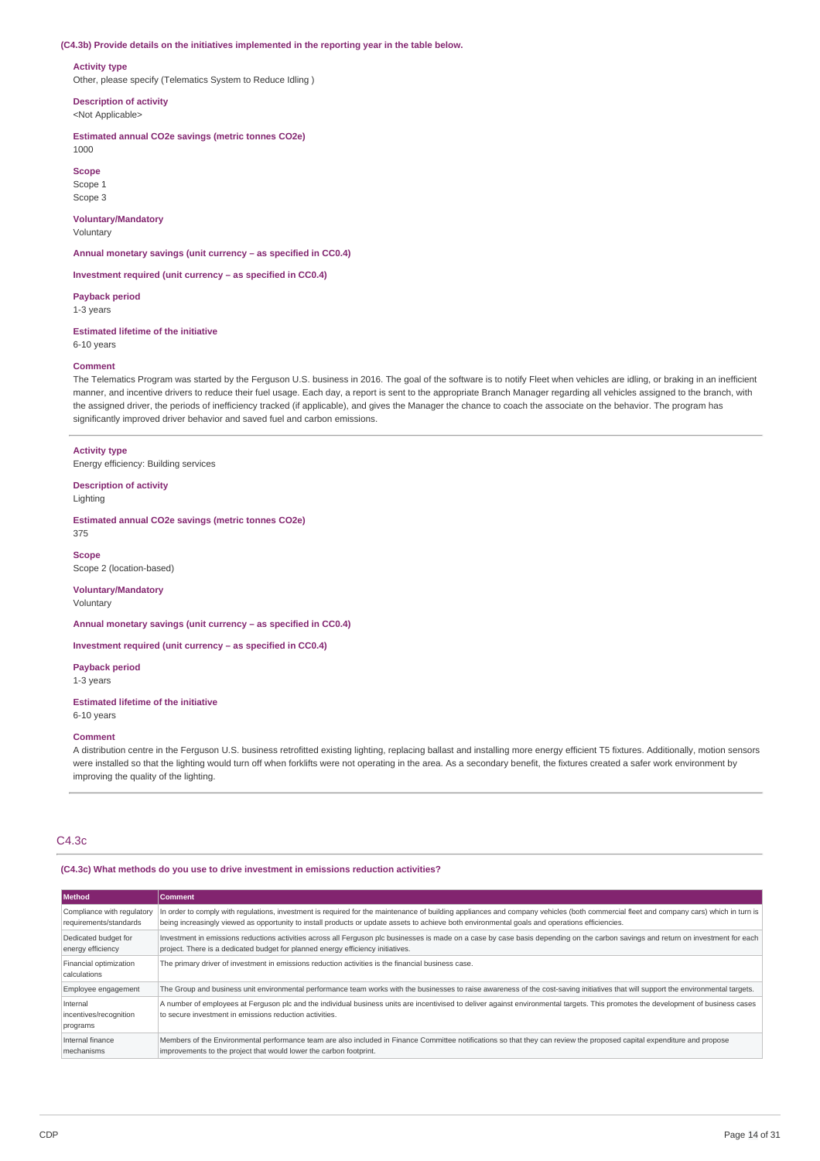#### **(C4.3b) Provide details on the initiatives implemented in the reporting year in the table below.**

#### **Activity type**

Other, please specify (Telematics System to Reduce Idling )

**Description of activity**

<Not Applicable>

**Estimated annual CO2e savings (metric tonnes CO2e)** 1000

**Scope** Scope 1

Scope 3 **Voluntary/Mandatory**

Voluntary

**Annual monetary savings (unit currency – as specified in CC0.4)**

**Investment required (unit currency – as specified in CC0.4)**

**Payback period** 1-3 years

**Estimated lifetime of the initiative** 6-10 years

#### **Comment**

The Telematics Program was started by the Ferguson U.S. business in 2016. The goal of the software is to notify Fleet when vehicles are idling, or braking in an inefficient manner, and incentive drivers to reduce their fuel usage. Each day, a report is sent to the appropriate Branch Manager regarding all vehicles assigned to the branch, with the assigned driver, the periods of inefficiency tracked (if applicable), and gives the Manager the chance to coach the associate on the behavior. The program has significantly improved driver behavior and saved fuel and carbon emissions.

## **Activity type**

Energy efficiency: Building services

**Description of activity** Lighting

**Estimated annual CO2e savings (metric tonnes CO2e)**

375

**Scope** Scope 2 (location-based)

## **Voluntary/Mandatory**

Voluntary

**Annual monetary savings (unit currency – as specified in CC0.4)**

**Investment required (unit currency – as specified in CC0.4)**

**Payback period**

1-3 years

## **Estimated lifetime of the initiative** 6-10 years

**Comment**

A distribution centre in the Ferguson U.S. business retrofitted existing lighting, replacing ballast and installing more energy efficient T5 fixtures. Additionally, motion sensors were installed so that the lighting would turn off when forklifts were not operating in the area. As a secondary benefit, the fixtures created a safer work environment by improving the quality of the lighting.

# C4.3c

### **(C4.3c) What methods do you use to drive investment in emissions reduction activities?**

| Method                                               | Comment                                                                                                                                                                                                                                                                                                                                 |
|------------------------------------------------------|-----------------------------------------------------------------------------------------------------------------------------------------------------------------------------------------------------------------------------------------------------------------------------------------------------------------------------------------|
| Compliance with regulatory<br>requirements/standards | In order to comply with requlations, investment is required for the maintenance of building appliances and company vehicles (both commercial fleet and company cars) which in turn is<br>being increasingly viewed as opportunity to install products or update assets to achieve both environmental goals and operations efficiencies. |
| Dedicated budget for<br>energy efficiency            | Investment in emissions reductions activities across all Ferguson plc businesses is made on a case by case basis depending on the carbon savings and return on investment for each<br>project. There is a dedicated budget for planned energy efficiency initiatives.                                                                   |
| Financial optimization<br>calculations               | The primary driver of investment in emissions reduction activities is the financial business case.                                                                                                                                                                                                                                      |
| Employee engagement                                  | The Group and business unit environmental performance team works with the businesses to raise awareness of the cost-saving initiatives that will support the environmental targets.                                                                                                                                                     |
| Internal<br>incentives/recognition<br>programs       | A number of employees at Ferguson plc and the individual business units are incentivised to deliver against environmental targets. This promotes the development of business cases<br>to secure investment in emissions reduction activities.                                                                                           |
| Internal finance<br>mechanisms                       | Members of the Environmental performance team are also included in Finance Committee notifications so that they can review the proposed capital expenditure and propose<br>improvements to the project that would lower the carbon footprint.                                                                                           |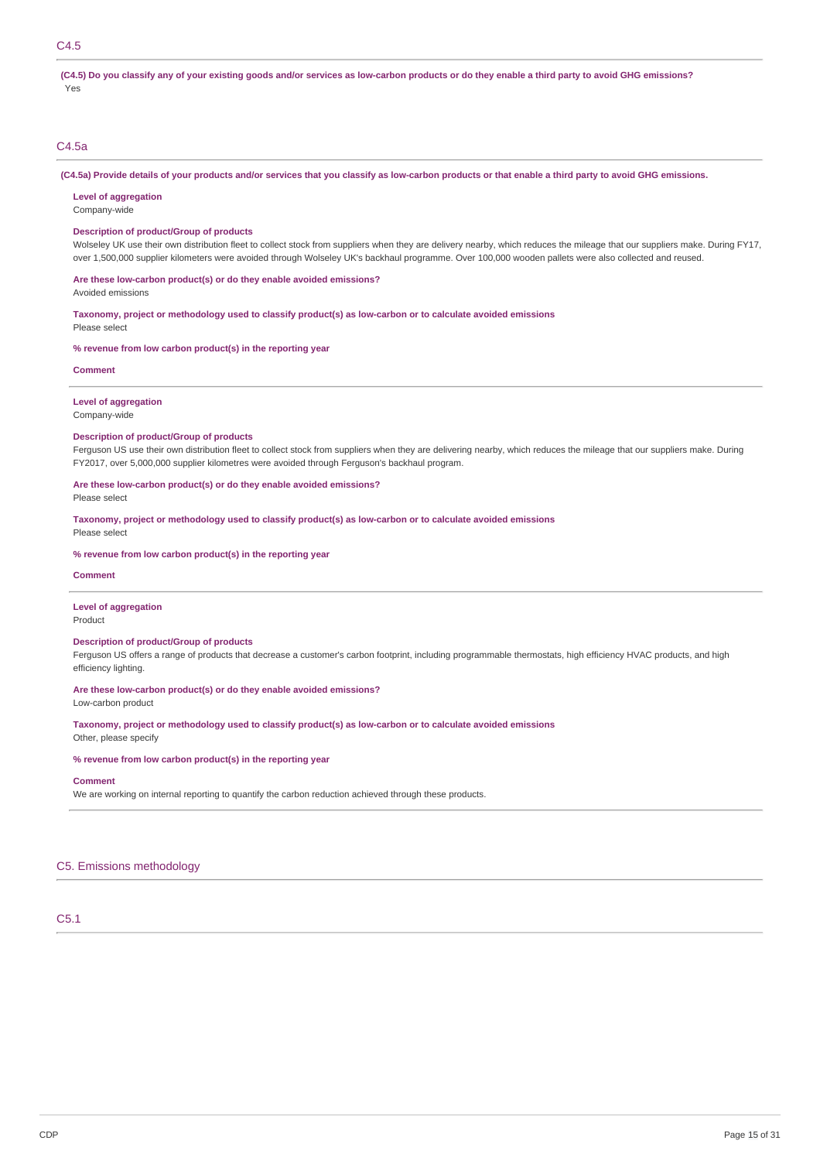# C4.5

(C4.5) Do you classify any of your existing goods and/or services as low-carbon products or do they enable a third party to avoid GHG emissions? Yes

# C4.5a

(C4.5a) Provide details of your products and/or services that you classify as low-carbon products or that enable a third party to avoid GHG emissions.

**Level of aggregation**

Company-wide

## **Description of product/Group of products**

Wolseley UK use their own distribution fleet to collect stock from suppliers when they are delivery nearby, which reduces the mileage that our suppliers make. During FY17, over 1,500,000 supplier kilometers were avoided through Wolseley UK's backhaul programme. Over 100,000 wooden pallets were also collected and reused.

**Are these low-carbon product(s) or do they enable avoided emissions?**

Avoided emissions

**Taxonomy, project or methodology used to classify product(s) as low-carbon or to calculate avoided emissions**

Please select

**% revenue from low carbon product(s) in the reporting year**

**Comment**

# **Level of aggregation**

Company-wide

#### **Description of product/Group of products**

Ferguson US use their own distribution fleet to collect stock from suppliers when they are delivering nearby, which reduces the mileage that our suppliers make. During FY2017, over 5,000,000 supplier kilometres were avoided through Ferguson's backhaul program.

## **Are these low-carbon product(s) or do they enable avoided emissions?**

Please select

**Taxonomy, project or methodology used to classify product(s) as low-carbon or to calculate avoided emissions** Please select

**% revenue from low carbon product(s) in the reporting year**

#### **Comment**

## **Level of aggregation**

Product

# **Description of product/Group of products**

Ferguson US offers a range of products that decrease a customer's carbon footprint, including programmable thermostats, high efficiency HVAC products, and high efficiency lighting.

## **Are these low-carbon product(s) or do they enable avoided emissions?**

Low-carbon product

**Taxonomy, project or methodology used to classify product(s) as low-carbon or to calculate avoided emissions**

Other, please specify

## **% revenue from low carbon product(s) in the reporting year**

#### **Comment**

We are working on internal reporting to quantify the carbon reduction achieved through these products.

## C5. Emissions methodology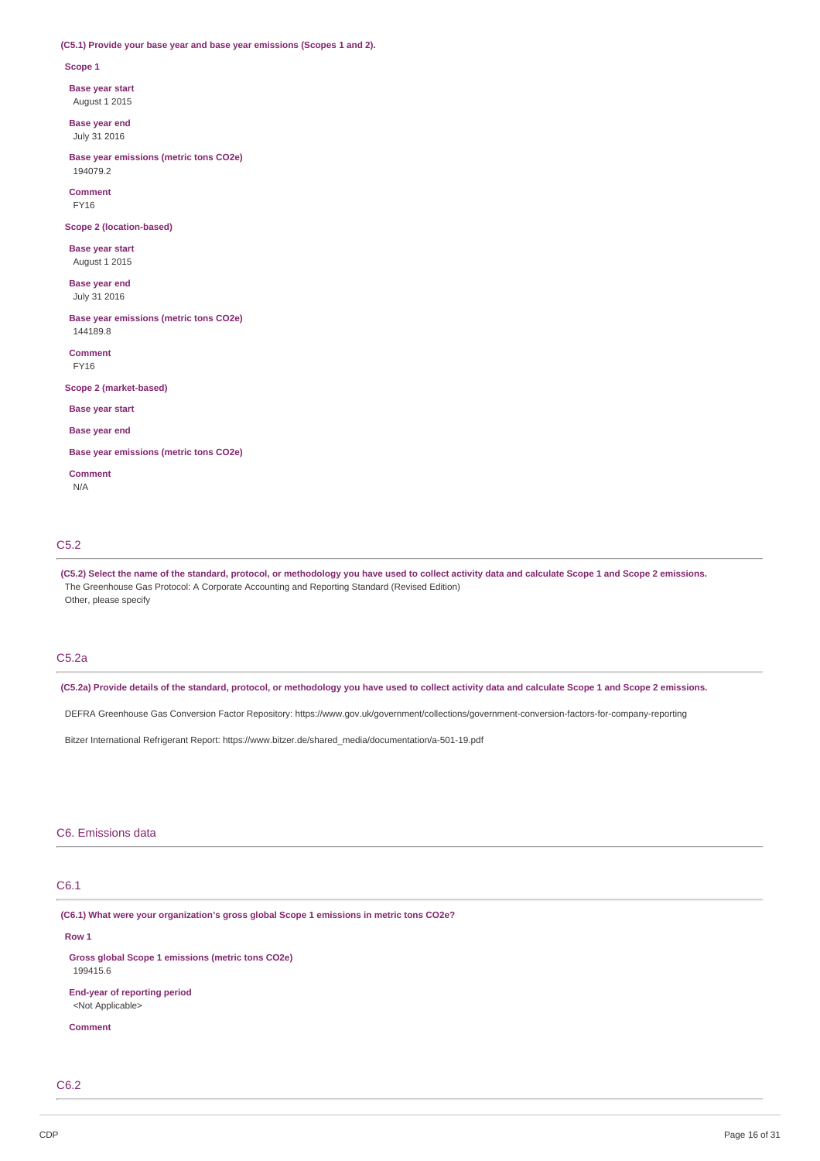### **(C5.1) Provide your base year and base year emissions (Scopes 1 and 2).**

#### **Scope 1**

**Base year start**

August 1 2015

**Base year end** July 31 2016

**Base year emissions (metric tons CO2e)** 194079.2

**Comment** FY16

**Scope 2 (location-based)**

**Base year start** August 1 2015

**Base year end** July 31 2016

**Base year emissions (metric tons CO2e)** 144189.8

**Comment** FY16

**Scope 2 (market-based)**

**Base year start**

# **Base year end**

**Base year emissions (metric tons CO2e)**

**Comment**

N/A

## C5.2

(C5.2) Select the name of the standard, protocol, or methodology you have used to collect activity data and calculate Scope 1 and Scope 2 emissions. The Greenhouse Gas Protocol: A Corporate Accounting and Reporting Standard (Revised Edition) Other, please specify

# C5.2a

(C5.2a) Provide details of the standard, protocol, or methodology you have used to collect activity data and calculate Scope 1 and Scope 2 emissions.

DEFRA Greenhouse Gas Conversion Factor Repository: https://www.gov.uk/government/collections/government-conversion-factors-for-company-reporting

Bitzer International Refrigerant Report: https://www.bitzer.de/shared\_media/documentation/a-501-19.pdf

## C6. Emissions data

# C6.1

**(C6.1) What were your organization's gross global Scope 1 emissions in metric tons CO2e?**

## **Row 1**

**Gross global Scope 1 emissions (metric tons CO2e)** 199415.6 **End-year of reporting period** <Not Applicable>

**Comment**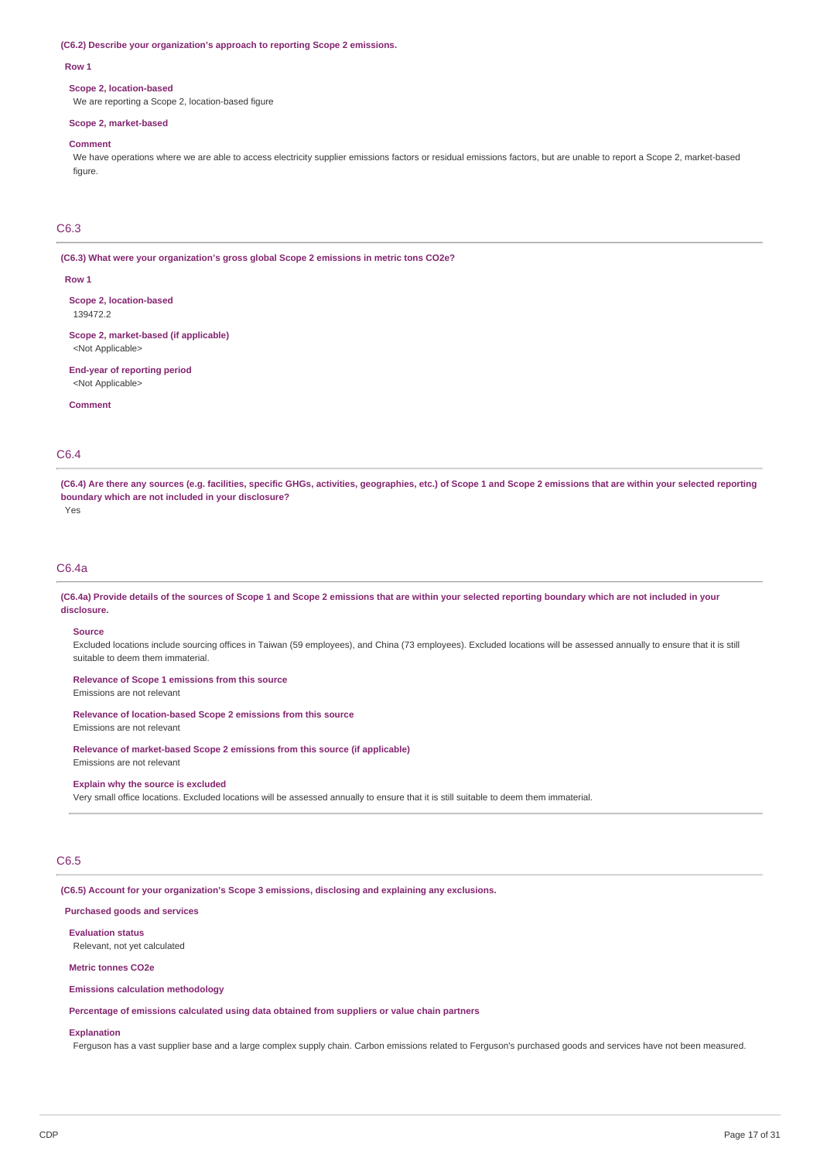**(C6.2) Describe your organization's approach to reporting Scope 2 emissions.**

#### **Row 1**

#### **Scope 2, location-based**

We are reporting a Scope 2, location-based figure

#### **Scope 2, market-based**

### **Comment**

We have operations where we are able to access electricity supplier emissions factors or residual emissions factors, but are unable to report a Scope 2, market-based figure.

# C6.3

**(C6.3) What were your organization's gross global Scope 2 emissions in metric tons CO2e?**

#### **Row 1**

**Scope 2, location-based** 139472.2

**Scope 2, market-based (if applicable)** <Not Applicable>

**End-year of reporting period** <Not Applicable>

**Comment**

## C6.4

(C6.4) Are there any sources (e.g. facilities, specific GHGs, activities, geographies, etc.) of Scope 1 and Scope 2 emissions that are within your selected reporting **boundary which are not included in your disclosure?**

Yes

## C6.4a

(C6.4a) Provide details of the sources of Scope 1 and Scope 2 emissions that are within your selected reporting boundary which are not included in your **disclosure.**

## **Source**

Excluded locations include sourcing offices in Taiwan (59 employees), and China (73 employees). Excluded locations will be assessed annually to ensure that it is still suitable to deem them immaterial.

#### **Relevance of Scope 1 emissions from this source**

Emissions are not relevant

## **Relevance of location-based Scope 2 emissions from this source**

Emissions are not relevant

## **Relevance of market-based Scope 2 emissions from this source (if applicable)**

Emissions are not relevant

#### **Explain why the source is excluded**

Very small office locations. Excluded locations will be assessed annually to ensure that it is still suitable to deem them immaterial.

# C6.5

**(C6.5) Account for your organization's Scope 3 emissions, disclosing and explaining any exclusions.**

## **Purchased goods and services**

**Evaluation status** Relevant, not yet calculated

### **Metric tonnes CO2e**

## **Emissions calculation methodology**

**Percentage of emissions calculated using data obtained from suppliers or value chain partners**

## **Explanation**

Ferguson has a vast supplier base and a large complex supply chain. Carbon emissions related to Ferguson's purchased goods and services have not been measured.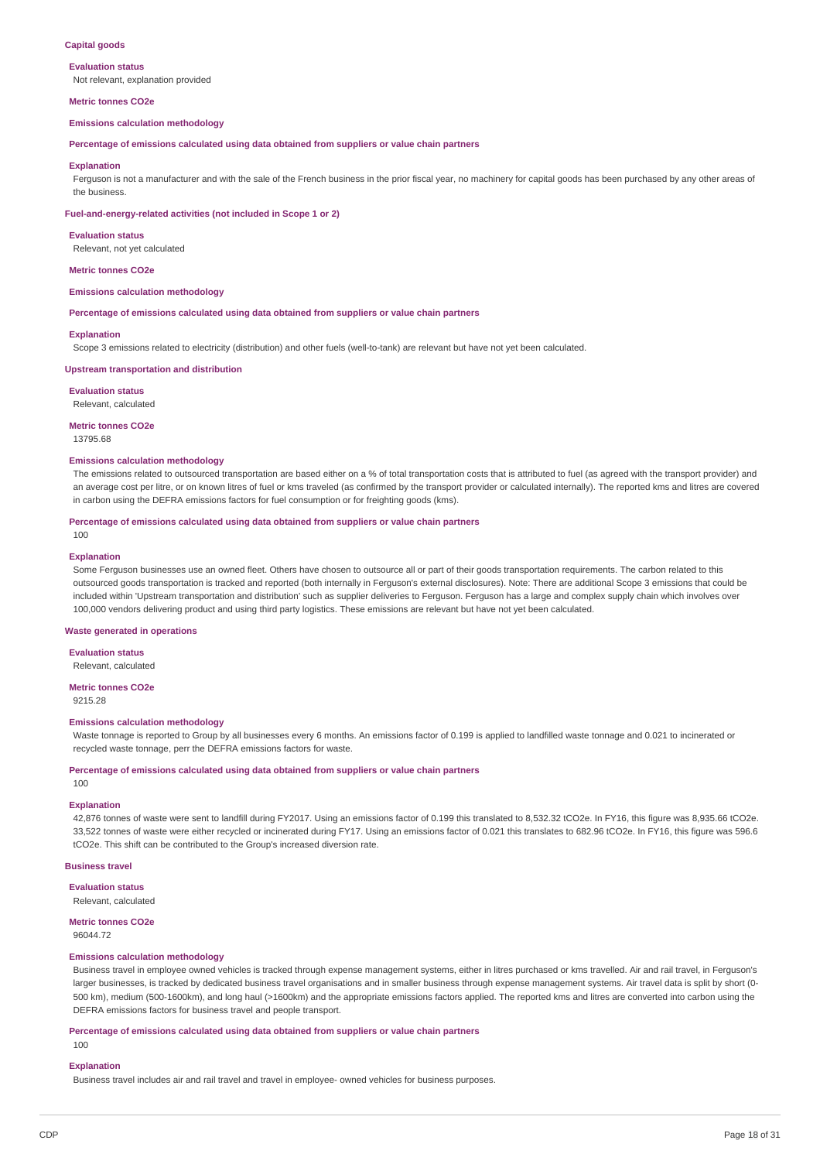## **Capital goods**

#### **Evaluation status**

Not relevant, explanation provided

#### **Metric tonnes CO2e**

#### **Emissions calculation methodology**

**Percentage of emissions calculated using data obtained from suppliers or value chain partners**

#### **Explanation**

Ferguson is not a manufacturer and with the sale of the French business in the prior fiscal year, no machinery for capital goods has been purchased by any other areas of the business.

#### **Fuel-and-energy-related activities (not included in Scope 1 or 2)**

#### **Evaluation status**

Relevant, not yet calculated

#### **Metric tonnes CO2e**

#### **Emissions calculation methodology**

**Percentage of emissions calculated using data obtained from suppliers or value chain partners**

#### **Explanation**

Scope 3 emissions related to electricity (distribution) and other fuels (well-to-tank) are relevant but have not yet been calculated.

#### **Upstream transportation and distribution**

**Evaluation status**

## Relevant, calculated

**Metric tonnes CO2e**

13795.68

### **Emissions calculation methodology**

The emissions related to outsourced transportation are based either on a % of total transportation costs that is attributed to fuel (as agreed with the transport provider) and an average cost per litre, or on known litres of fuel or kms traveled (as confirmed by the transport provider or calculated internally). The reported kms and litres are covered in carbon using the DEFRA emissions factors for fuel consumption or for freighting goods (kms).

### **Percentage of emissions calculated using data obtained from suppliers or value chain partners**

# **Explanation**

100

Some Ferguson businesses use an owned fleet. Others have chosen to outsource all or part of their goods transportation requirements. The carbon related to this outsourced goods transportation is tracked and reported (both internally in Ferguson's external disclosures). Note: There are additional Scope 3 emissions that could be included within 'Upstream transportation and distribution' such as supplier deliveries to Ferguson. Ferguson has a large and complex supply chain which involves over 100,000 vendors delivering product and using third party logistics. These emissions are relevant but have not yet been calculated.

#### **Waste generated in operations**

**Evaluation status**

## Relevant, calculated

**Metric tonnes CO2e**

9215.28

#### **Emissions calculation methodology**

Waste tonnage is reported to Group by all businesses every 6 months. An emissions factor of 0.199 is applied to landfilled waste tonnage and 0.021 to incinerated or recycled waste tonnage, perr the DEFRA emissions factors for waste.

**Percentage of emissions calculated using data obtained from suppliers or value chain partners** 100

#### **Explanation**

42,876 tonnes of waste were sent to landfill during FY2017. Using an emissions factor of 0.199 this translated to 8,532.32 tCO2e. In FY16, this figure was 8,935.66 tCO2e. 33,522 tonnes of waste were either recycled or incinerated during FY17. Using an emissions factor of 0.021 this translates to 682.96 tCO2e. In FY16, this figure was 596.6 tCO2e. This shift can be contributed to the Group's increased diversion rate.

#### **Business travel**

#### **Evaluation status**

Relevant, calculated

# **Metric tonnes CO2e**

96044.72

## **Emissions calculation methodology**

Business travel in employee owned vehicles is tracked through expense management systems, either in litres purchased or kms travelled. Air and rail travel, in Ferguson's larger businesses, is tracked by dedicated business travel organisations and in smaller business through expense management systems. Air travel data is split by short (0-500 km), medium (500-1600km), and long haul (>1600km) and the appropriate emissions factors applied. The reported kms and litres are converted into carbon using the DEFRA emissions factors for business travel and people transport.

## **Percentage of emissions calculated using data obtained from suppliers or value chain partners**

100

### **Explanation**

Business travel includes air and rail travel and travel in employee- owned vehicles for business purposes.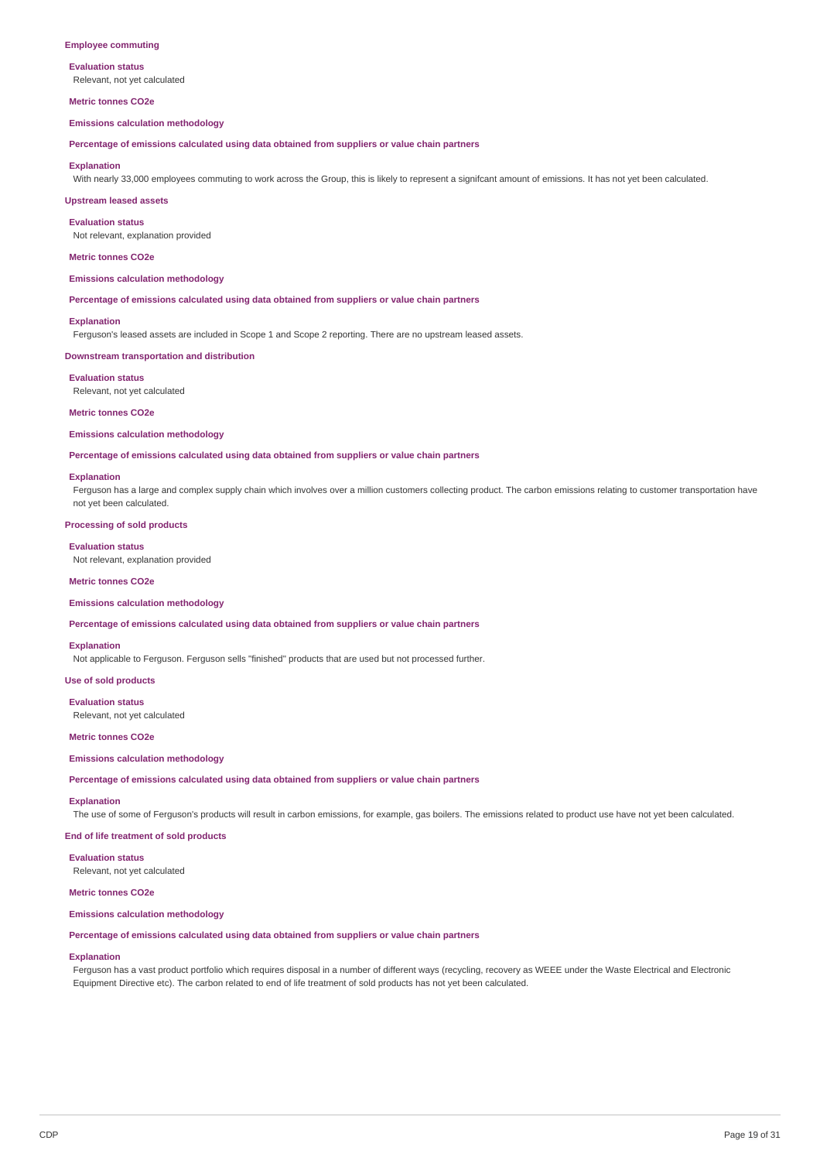#### **Employee commuting**

# **Evaluation status**

Relevant, not yet calculated

## **Metric tonnes CO2e**

**Emissions calculation methodology**

**Percentage of emissions calculated using data obtained from suppliers or value chain partners**

#### **Explanation**

With nearly 33,000 employees commuting to work across the Group, this is likely to represent a significant amount of emissions. It has not yet been calculated.

### **Upstream leased assets**

**Evaluation status**

Not relevant, explanation provided

### **Metric tonnes CO2e**

## **Emissions calculation methodology**

**Percentage of emissions calculated using data obtained from suppliers or value chain partners**

#### **Explanation**

Ferguson's leased assets are included in Scope 1 and Scope 2 reporting. There are no upstream leased assets.

### **Downstream transportation and distribution**

**Evaluation status** Relevant, not yet calculated

#### **Metric tonnes CO2e**

**Emissions calculation methodology**

**Percentage of emissions calculated using data obtained from suppliers or value chain partners**

#### **Explanation**

Ferguson has a large and complex supply chain which involves over a million customers collecting product. The carbon emissions relating to customer transportation have not yet been calculated.

#### **Processing of sold products**

#### **Evaluation status**

Not relevant, explanation provided

### **Metric tonnes CO2e**

#### **Emissions calculation methodology**

**Percentage of emissions calculated using data obtained from suppliers or value chain partners**

#### **Explanation**

Not applicable to Ferguson. Ferguson sells "finished" products that are used but not processed further.

**Use of sold products**

#### **Evaluation status**

Relevant, not yet calculated

#### **Metric tonnes CO2e**

#### **Emissions calculation methodology**

**Percentage of emissions calculated using data obtained from suppliers or value chain partners**

#### **Explanation**

The use of some of Ferguson's products will result in carbon emissions, for example, gas boilers. The emissions related to product use have not yet been calculated.

**End of life treatment of sold products**

**Evaluation status** Relevant, not yet calculated

#### **Metric tonnes CO2e**

### **Emissions calculation methodology**

**Percentage of emissions calculated using data obtained from suppliers or value chain partners**

#### **Explanation**

Ferguson has a vast product portfolio which requires disposal in a number of different ways (recycling, recovery as WEEE under the Waste Electrical and Electronic Equipment Directive etc). The carbon related to end of life treatment of sold products has not yet been calculated.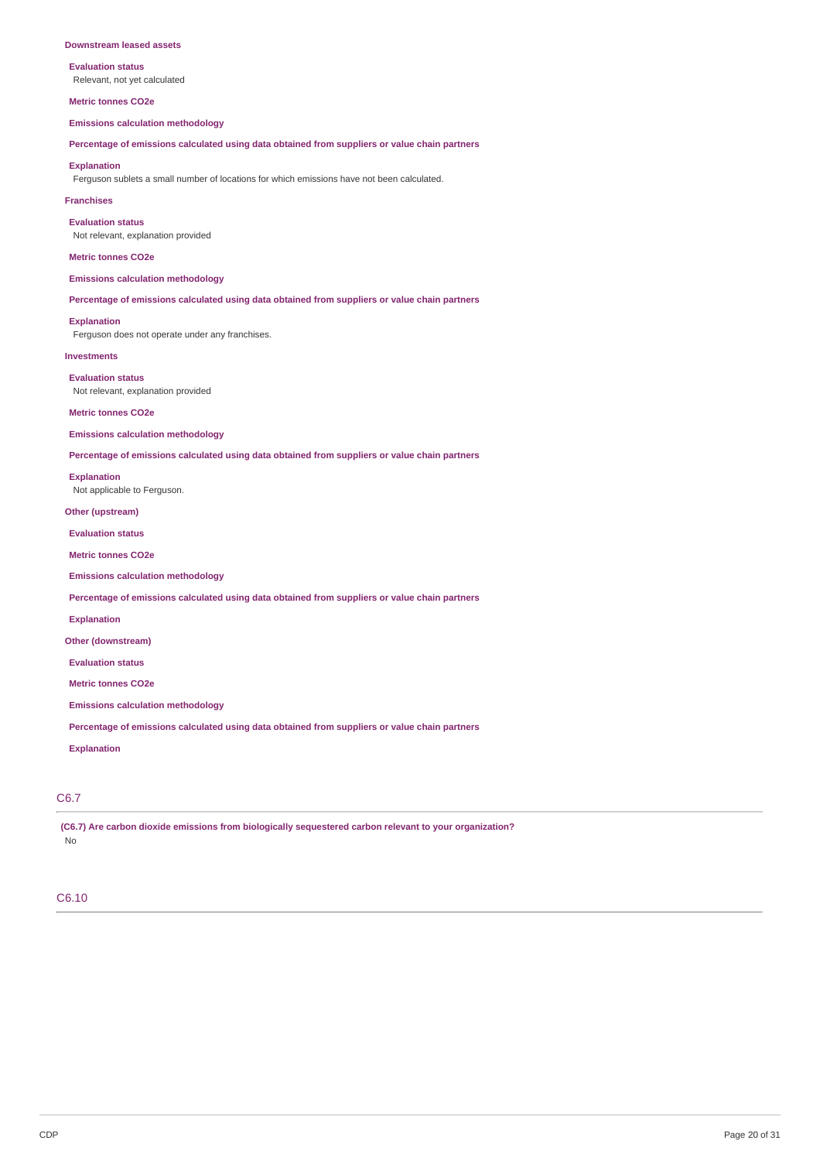#### **Downstream leased assets**

**Evaluation status** Relevant, not yet calculated

**Metric tonnes CO2e**

**Emissions calculation methodology**

**Percentage of emissions calculated using data obtained from suppliers or value chain partners**

### **Explanation**

Ferguson sublets a small number of locations for which emissions have not been calculated.

#### **Franchises**

**Evaluation status**

Not relevant, explanation provided

## **Metric tonnes CO2e**

**Emissions calculation methodology**

**Percentage of emissions calculated using data obtained from suppliers or value chain partners**

**Explanation**

Ferguson does not operate under any franchises.

# **Investments**

**Evaluation status** Not relevant, explanation provided

#### **Metric tonnes CO2e**

**Emissions calculation methodology**

**Percentage of emissions calculated using data obtained from suppliers or value chain partners**

## **Explanation**

Not applicable to Ferguson.

**Other (upstream)**

**Evaluation status**

**Metric tonnes CO2e**

**Emissions calculation methodology**

**Percentage of emissions calculated using data obtained from suppliers or value chain partners**

**Explanation**

**Other (downstream)**

**Evaluation status**

**Metric tonnes CO2e**

**Emissions calculation methodology**

**Percentage of emissions calculated using data obtained from suppliers or value chain partners**

**Explanation**

# C6.7

**(C6.7) Are carbon dioxide emissions from biologically sequestered carbon relevant to your organization?** No

# C6.10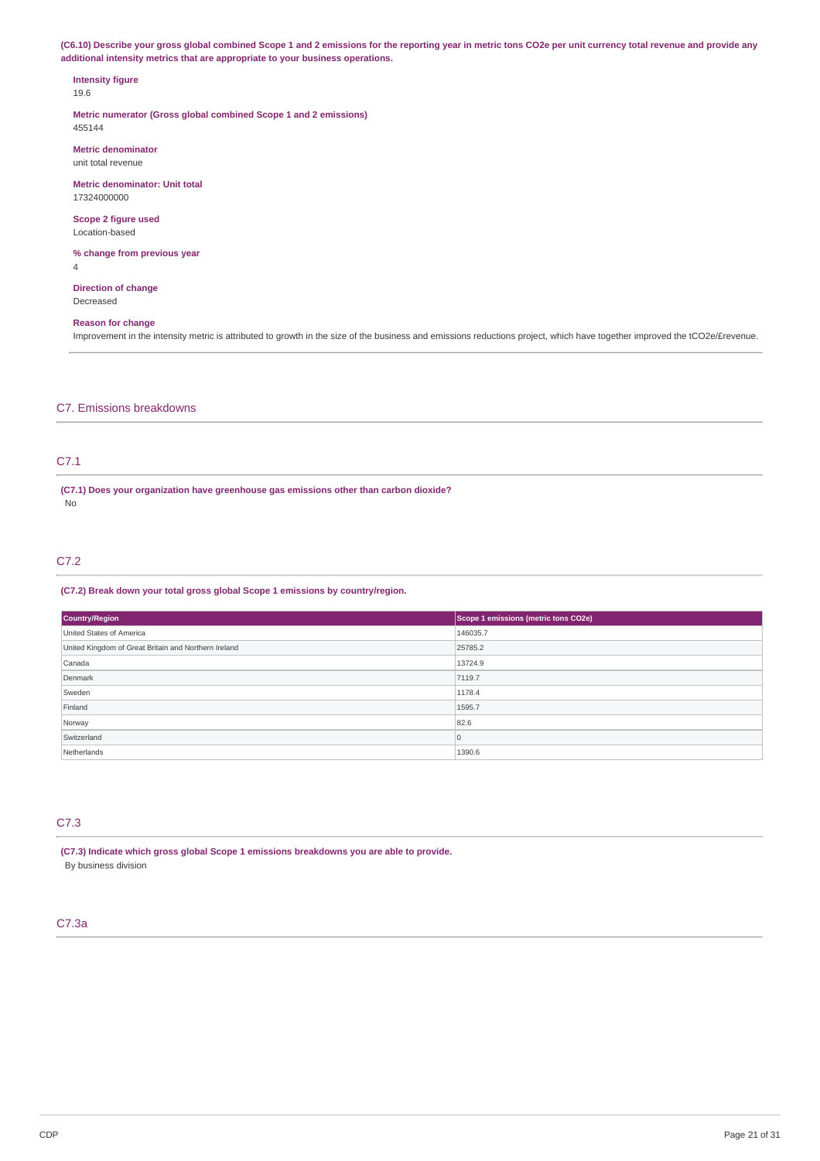(C6.10) Describe your gross global combined Scope 1 and 2 emissions for the reporting year in metric tons CO2e per unit currency total revenue and provide any **additional intensity metrics that are appropriate to your business operations.**

# **Intensity figure**

19.6

**Metric numerator (Gross global combined Scope 1 and 2 emissions)** 455144

**Metric denominator** unit total revenue

**Metric denominator: Unit total** 17324000000

**Scope 2 figure used** Location-based

**% change from previous year** 4

**Direction of change** Decreased

# **Reason for change**

Improvement in the intensity metric is attributed to growth in the size of the business and emissions reductions project, which have together improved the tCO2e/Erevenue.

# C7. Emissions breakdowns

# C7.1

**(C7.1) Does your organization have greenhouse gas emissions other than carbon dioxide?** No

## C7.2

## **(C7.2) Break down your total gross global Scope 1 emissions by country/region.**

| <b>Country/Region</b>                                | Scope 1 emissions (metric tons CO2e) |
|------------------------------------------------------|--------------------------------------|
| United States of America                             | 146035.7                             |
| United Kingdom of Great Britain and Northern Ireland | 25785.2                              |
| Canada                                               | 13724.9                              |
| Denmark                                              | 7119.7                               |
| Sweden                                               | 1178.4                               |
| Finland                                              | 1595.7                               |
| Norway                                               | 82.6                                 |
| Switzerland                                          | 0                                    |
| Netherlands                                          | 1390.6                               |

# C7.3

**(C7.3) Indicate which gross global Scope 1 emissions breakdowns you are able to provide.** By business division

## C7.3a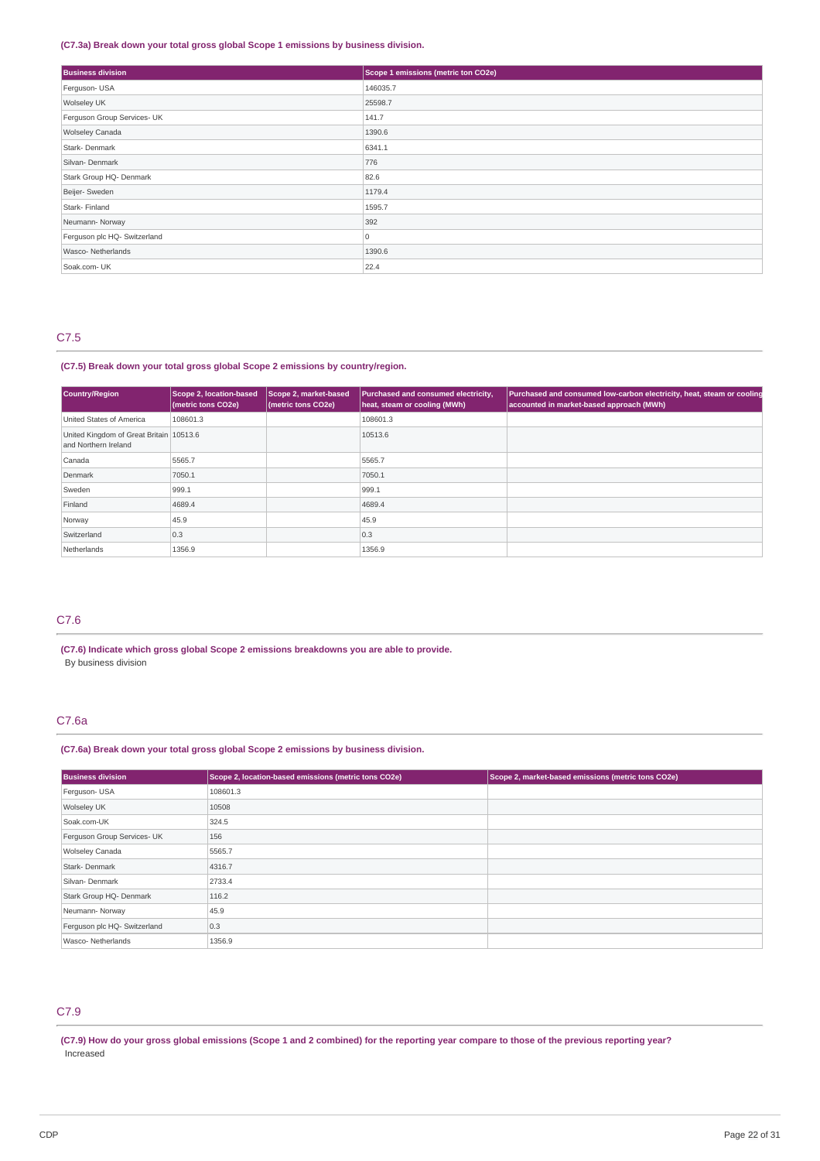## **(C7.3a) Break down your total gross global Scope 1 emissions by business division.**

| <b>Business division</b>     | Scope 1 emissions (metric ton CO2e) |
|------------------------------|-------------------------------------|
| Ferguson- USA                | 146035.7                            |
| Wolseley UK                  | 25598.7                             |
| Ferguson Group Services- UK  | 141.7                               |
| Wolseley Canada              | 1390.6                              |
| Stark-Denmark                | 6341.1                              |
| Silvan- Denmark              | 776                                 |
| Stark Group HQ- Denmark      | 82.6                                |
| Beijer- Sweden               | 1179.4                              |
| Stark- Finland               | 1595.7                              |
| Neumann-Norway               | 392                                 |
| Ferguson plc HQ- Switzerland | 0                                   |
| Wasco-Netherlands            | 1390.6                              |
| Soak.com- UK                 | 22.4                                |

## C7.5

**(C7.5) Break down your total gross global Scope 2 emissions by country/region.**

| <b>Country/Region</b>                                           | Scope 2, location-based<br>(metric tons CO2e) | Scope 2, market-based<br>(metric tons CO2e) | Purchased and consumed electricity,<br>heat, steam or cooling (MWh) | Purchased and consumed low-carbon electricity, heat, steam or cooling<br>accounted in market-based approach (MWh) |
|-----------------------------------------------------------------|-----------------------------------------------|---------------------------------------------|---------------------------------------------------------------------|-------------------------------------------------------------------------------------------------------------------|
| United States of America                                        | 108601.3                                      |                                             | 108601.3                                                            |                                                                                                                   |
| United Kingdom of Great Britain 10513.6<br>and Northern Ireland |                                               |                                             | 10513.6                                                             |                                                                                                                   |
| Canada                                                          | 5565.7                                        |                                             | 5565.7                                                              |                                                                                                                   |
| Denmark                                                         | 7050.1                                        |                                             | 7050.1                                                              |                                                                                                                   |
| Sweden                                                          | 999.1                                         |                                             | 999.1                                                               |                                                                                                                   |
| Finland                                                         | 4689.4                                        |                                             | 4689.4                                                              |                                                                                                                   |
| Norway                                                          | 45.9                                          |                                             | 45.9                                                                |                                                                                                                   |
| Switzerland                                                     | 0.3                                           |                                             | 0.3                                                                 |                                                                                                                   |
| Netherlands                                                     | 1356.9                                        |                                             | 1356.9                                                              |                                                                                                                   |

# C7.6

**(C7.6) Indicate which gross global Scope 2 emissions breakdowns you are able to provide.** By business division

# C7.6a

# **(C7.6a) Break down your total gross global Scope 2 emissions by business division.**

| <b>Business division</b>     | Scope 2, location-based emissions (metric tons CO2e) | Scope 2, market-based emissions (metric tons CO2e) |
|------------------------------|------------------------------------------------------|----------------------------------------------------|
| Ferguson- USA                | 108601.3                                             |                                                    |
| Wolseley UK                  | 10508                                                |                                                    |
| Soak.com-UK                  | 324.5                                                |                                                    |
| Ferguson Group Services- UK  | 156                                                  |                                                    |
| <b>Wolseley Canada</b>       | 5565.7                                               |                                                    |
| Stark-Denmark                | 4316.7                                               |                                                    |
| Silvan-Denmark               | 2733.4                                               |                                                    |
| Stark Group HQ- Denmark      | 116.2                                                |                                                    |
| Neumann-Norway               | 45.9                                                 |                                                    |
| Ferguson plc HQ- Switzerland | 0.3                                                  |                                                    |
| Wasco-Netherlands            | 1356.9                                               |                                                    |

# C7.9

(C7.9) How do your gross global emissions (Scope 1 and 2 combined) for the reporting year compare to those of the previous reporting year? Increased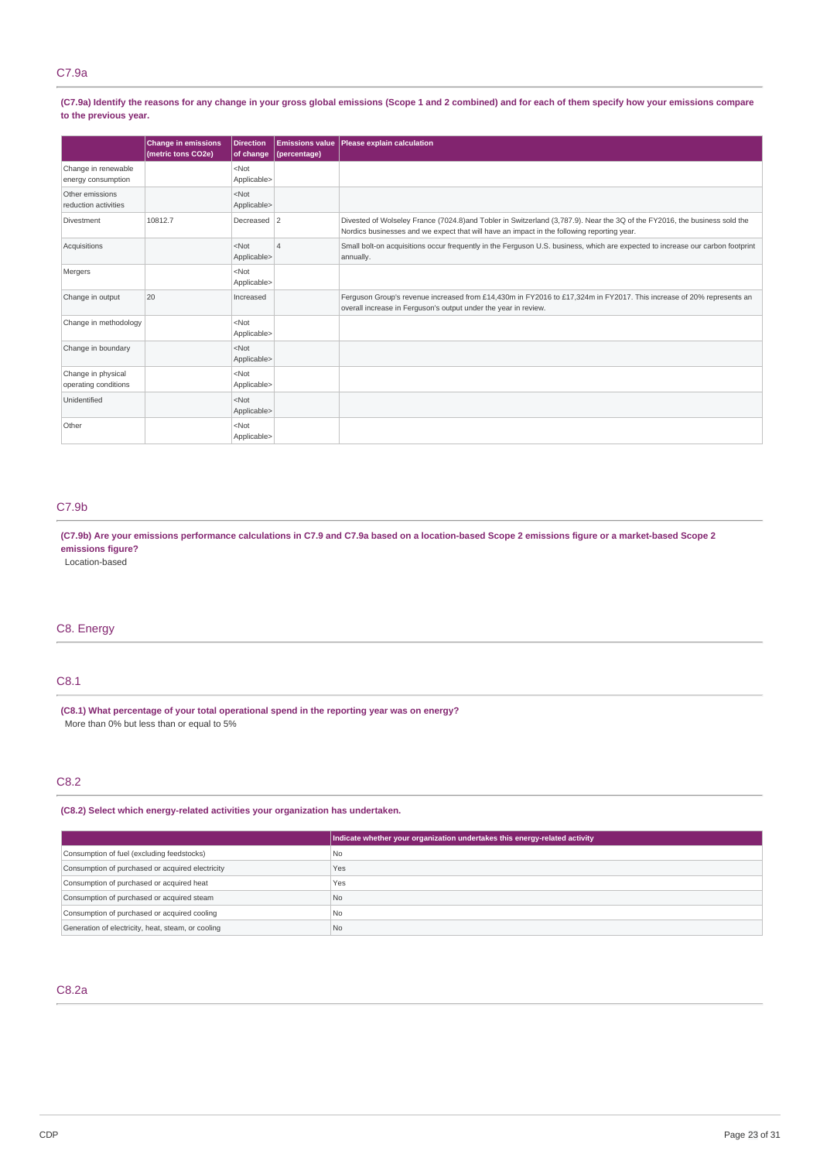# C7.9a

(C7.9a) Identify the reasons for any change in your gross global emissions (Scope 1 and 2 combined) and for each of them specify how your emissions compare **to the previous year.**

|                                            | <b>Change in emissions</b><br>(metric tons CO2e) | <b>Direction</b><br>of change | (percentage) | <b>Emissions value   Please explain calculation</b>                                                                                                                                                                      |
|--------------------------------------------|--------------------------------------------------|-------------------------------|--------------|--------------------------------------------------------------------------------------------------------------------------------------------------------------------------------------------------------------------------|
| Change in renewable<br>energy consumption  |                                                  | $<$ Not<br>Applicable>        |              |                                                                                                                                                                                                                          |
| Other emissions<br>reduction activities    |                                                  | $<$ Not<br>Applicable>        |              |                                                                                                                                                                                                                          |
| Divestment                                 | 10812.7                                          | Decreased 2                   |              | Divested of Wolseley France (7024.8) and Tobler in Switzerland (3,787.9). Near the 3Q of the FY2016, the business sold the<br>Nordics businesses and we expect that will have an impact in the following reporting year. |
| Acquisitions                               |                                                  | $<$ Not<br>Applicable>        | $\Lambda$    | Small bolt-on acquisitions occur frequently in the Ferquson U.S. business, which are expected to increase our carbon footprint<br>annually.                                                                              |
| Mergers                                    |                                                  | $<$ Not<br>Applicable>        |              |                                                                                                                                                                                                                          |
| Change in output                           | 20                                               | Increased                     |              | Ferguson Group's revenue increased from £14,430m in FY2016 to £17,324m in FY2017. This increase of 20% represents an<br>overall increase in Ferguson's output under the year in review.                                  |
| Change in methodology                      |                                                  | $<$ Not<br>Applicable>        |              |                                                                                                                                                                                                                          |
| Change in boundary                         |                                                  | $<$ Not<br>Applicable>        |              |                                                                                                                                                                                                                          |
| Change in physical<br>operating conditions |                                                  | $<$ Not<br>Applicable>        |              |                                                                                                                                                                                                                          |
| Unidentified                               |                                                  | $<$ Not<br>Applicable>        |              |                                                                                                                                                                                                                          |
| Other                                      |                                                  | $<$ Not<br>Applicable>        |              |                                                                                                                                                                                                                          |

# C7.9b

(C7.9b) Are your emissions performance calculations in C7.9 and C7.9a based on a location-based Scope 2 emissions figure or a market-based Scope 2 **emissions figure?**

Location-based

# C8. Energy

# C8.1

**(C8.1) What percentage of your total operational spend in the reporting year was on energy?** More than 0% but less than or equal to 5%

# C8.2

**(C8.2) Select which energy-related activities your organization has undertaken.**

|                                                    | Indicate whether your organization undertakes this energy-related activity |
|----------------------------------------------------|----------------------------------------------------------------------------|
| Consumption of fuel (excluding feedstocks)         | <b>No</b>                                                                  |
| Consumption of purchased or acquired electricity   | Yes                                                                        |
| Consumption of purchased or acquired heat          | Yes                                                                        |
| Consumption of purchased or acquired steam         | N <sub>0</sub>                                                             |
| Consumption of purchased or acquired cooling       | <b>No</b>                                                                  |
| Generation of electricity, heat, steam, or cooling | N <sub>0</sub>                                                             |

# C8.2a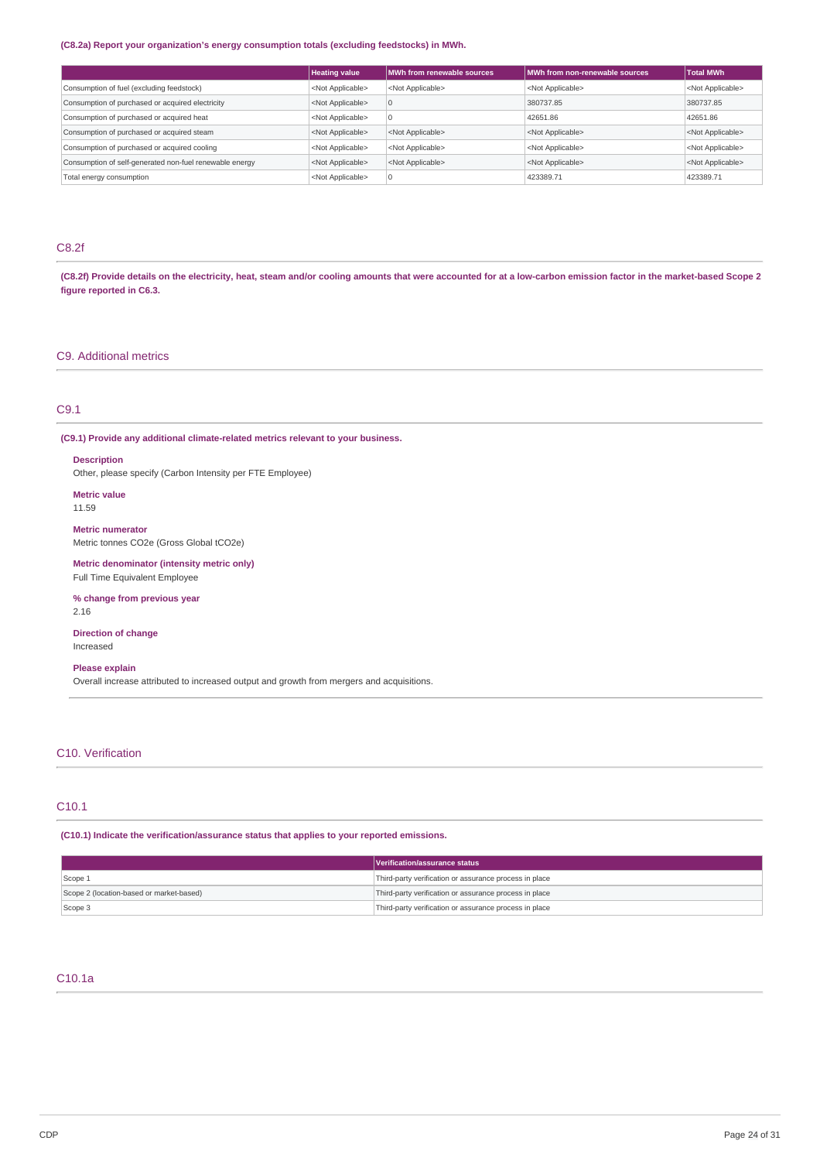## **(C8.2a) Report your organization's energy consumption totals (excluding feedstocks) in MWh.**

|                                                         | <b>Heating value</b>      | <b>IMWh from renewable sources</b> | MWh from non-renewable sources | <b>Total MWh</b>          |
|---------------------------------------------------------|---------------------------|------------------------------------|--------------------------------|---------------------------|
| Consumption of fuel (excluding feedstock)               | <not applicable=""></not> | <not applicable=""></not>          | <not applicable=""></not>      | <not applicable=""></not> |
| Consumption of purchased or acquired electricity        | <not applicable=""></not> | ю                                  | 380737.85                      | 380737.85                 |
| Consumption of purchased or acquired heat               | <not applicable=""></not> |                                    | 42651.86                       | 42651.86                  |
| Consumption of purchased or acquired steam              | <not applicable=""></not> | <not applicable=""></not>          | <not applicable=""></not>      | <not applicable=""></not> |
| Consumption of purchased or acquired cooling            | <not applicable=""></not> | <not applicable=""></not>          | <not applicable=""></not>      | <not applicable=""></not> |
| Consumption of self-generated non-fuel renewable energy | <not applicable=""></not> | <not applicable=""></not>          | <not applicable=""></not>      | <not applicable=""></not> |
| Total energy consumption                                | <not applicable=""></not> |                                    | 423389.71                      | 423389.71                 |

# C8.2f

(C8.2f) Provide details on the electricity, heat, steam and/or cooling amounts that were accounted for at a low-carbon emission factor in the market-based Scope 2 **figure reported in C6.3.**

# C9. Additional metrics

# C9.1

**(C9.1) Provide any additional climate-related metrics relevant to your business.**

## **Description**

Other, please specify (Carbon Intensity per FTE Employee)

## **Metric value**

11.59

**Metric numerator** Metric tonnes CO2e (Gross Global tCO2e)

**Metric denominator (intensity metric only)** Full Time Equivalent Employee

# **% change from previous year**

2.16

## **Direction of change** Increased

## **Please explain**

Overall increase attributed to increased output and growth from mergers and acquisitions.

## C10. Verification

# C10.1

**(C10.1) Indicate the verification/assurance status that applies to your reported emissions.**

|                                          | Verification/assurance status                          |
|------------------------------------------|--------------------------------------------------------|
| Scope 1                                  | Third-party verification or assurance process in place |
| Scope 2 (location-based or market-based) | Third-party verification or assurance process in place |
| Scope 3                                  | Third-party verification or assurance process in place |

# C10.1a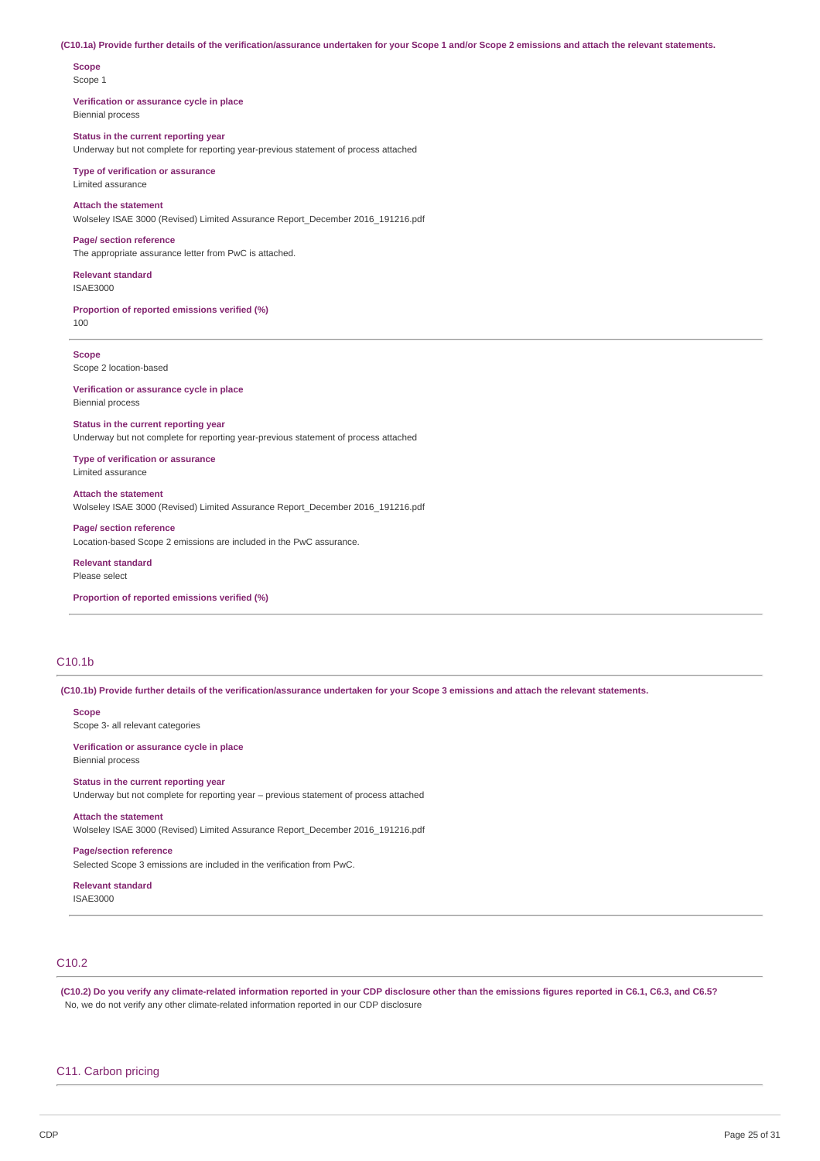#### (C10.1a) Provide further details of the verification/assurance undertaken for your Scope 1 and/or Scope 2 emissions and attach the relevant statements.

# **Scope**

Scope 1

#### **Verification or assurance cycle in place** Biennial process

## **Status in the current reporting year**

Underway but not complete for reporting year-previous statement of process attached

#### **Type of verification or assurance** Limited assurance

# **Attach the statement**

Wolseley ISAE 3000 (Revised) Limited Assurance Report\_December 2016\_191216.pdf

## **Page/ section reference**

The appropriate assurance letter from PwC is attached.

#### **Relevant standard** ISAE3000

**Proportion of reported emissions verified (%)**

100

# **Scope**

Scope 2 location-based

#### **Verification or assurance cycle in place** Biennial process

#### **Status in the current reporting year**

Underway but not complete for reporting year-previous statement of process attached

### **Type of verification or assurance** Limited assurance

# **Attach the statement**

Wolseley ISAE 3000 (Revised) Limited Assurance Report\_December 2016\_191216.pdf

**Page/ section reference** Location-based Scope 2 emissions are included in the PwC assurance.

### **Relevant standard** Please select

**Proportion of reported emissions verified (%)**

# C10.1b

(C10.1b) Provide further details of the verification/assurance undertaken for your Scope 3 emissions and attach the relevant statements.

### **Scope**

Scope 3- all relevant categories

#### **Verification or assurance cycle in place** Biennial process

# **Status in the current reporting year**

Underway but not complete for reporting year – previous statement of process attached

## **Attach the statement**

Wolseley ISAE 3000 (Revised) Limited Assurance Report\_December 2016\_191216.pdf

# **Page/section reference**

Selected Scope 3 emissions are included in the verification from PwC.

### **Relevant standard** ISAE3000

# C10.2

(C10.2) Do you verify any climate-related information reported in your CDP disclosure other than the emissions figures reported in C6.1, C6.3, and C6.5? No, we do not verify any other climate-related information reported in our CDP disclosure

## C11. Carbon pricing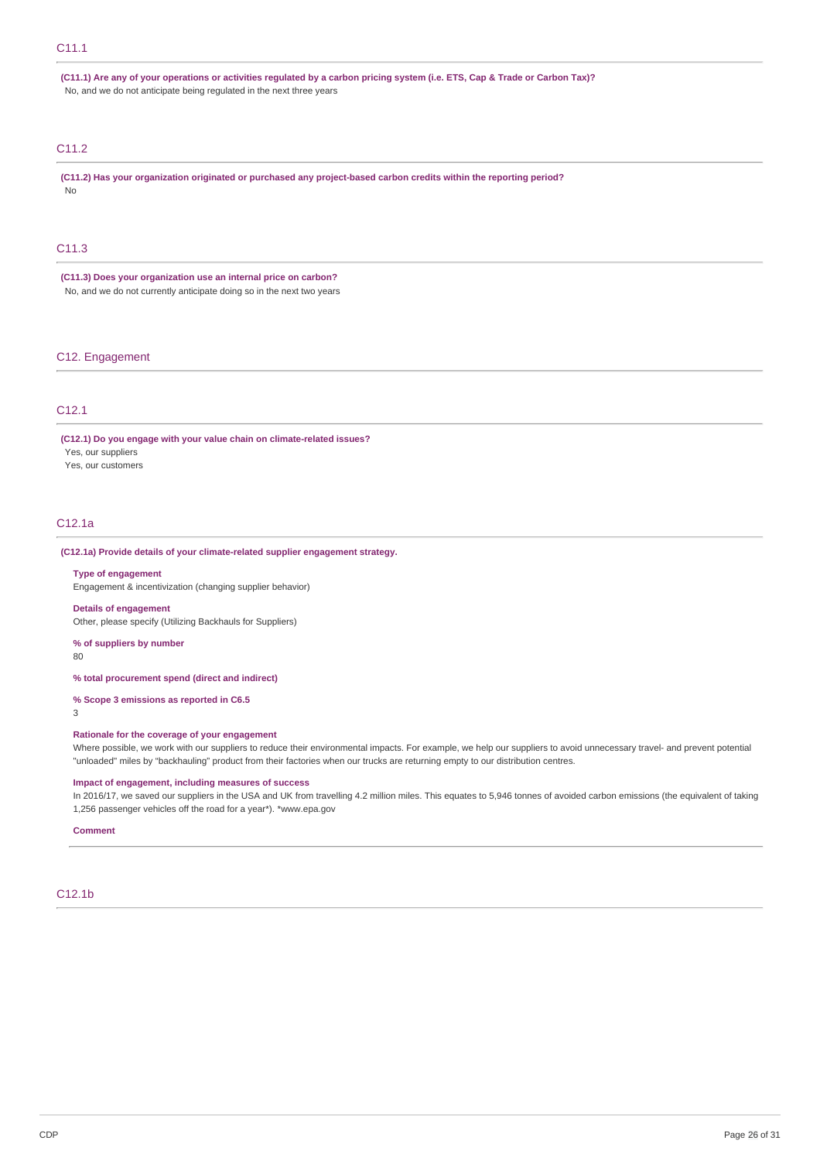## C11.1

(C11.1) Are any of your operations or activities regulated by a carbon pricing system (i.e. ETS, Cap & Trade or Carbon Tax)? No, and we do not anticipate being regulated in the next three years

# C11.2

**(C11.2) Has your organization originated or purchased any project-based carbon credits within the reporting period?** No

# C11.3

**(C11.3) Does your organization use an internal price on carbon?** No, and we do not currently anticipate doing so in the next two years

## C12. Engagement

## C12.1

**(C12.1) Do you engage with your value chain on climate-related issues?** Yes, our suppliers

Yes, our customers

# C12.1a

## **(C12.1a) Provide details of your climate-related supplier engagement strategy.**

#### **Type of engagement**

Engagement & incentivization (changing supplier behavior)

## **Details of engagement**

Other, please specify (Utilizing Backhauls for Suppliers)

# **% of suppliers by number**

80

## **% total procurement spend (direct and indirect)**

**% Scope 3 emissions as reported in C6.5**

## 3

## **Rationale for the coverage of your engagement**

Where possible, we work with our suppliers to reduce their environmental impacts. For example, we help our suppliers to avoid unnecessary travel- and prevent potential "unloaded" miles by "backhauling" product from their factories when our trucks are returning empty to our distribution centres.

## **Impact of engagement, including measures of success**

In 2016/17, we saved our suppliers in the USA and UK from travelling 4.2 million miles. This equates to 5,946 tonnes of avoided carbon emissions (the equivalent of taking 1,256 passenger vehicles off the road for a year\*). \*www.epa.gov

#### **Comment**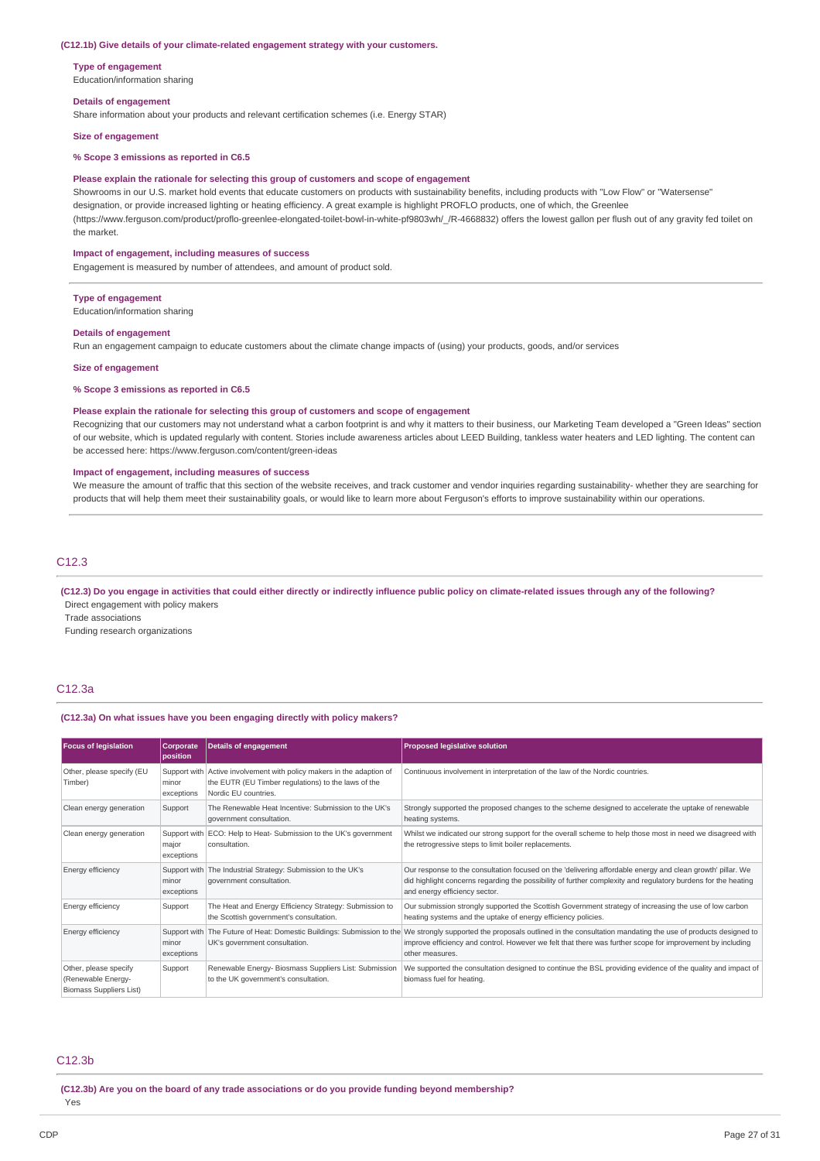#### **(C12.1b) Give details of your climate-related engagement strategy with your customers.**

**Type of engagement** Education/information sharing

#### **Details of engagement**

Share information about your products and relevant certification schemes (i.e. Energy STAR)

**Size of engagement**

## **% Scope 3 emissions as reported in C6.5**

#### **Please explain the rationale for selecting this group of customers and scope of engagement**

Showrooms in our U.S. market hold events that educate customers on products with sustainability benefits, including products with "Low Flow" or "Watersense" designation, or provide increased lighting or heating efficiency. A great example is highlight PROFLO products, one of which, the Greenlee (https://www.ferguson.com/product/proflo-greenlee-elongated-toilet-bowl-in-white-pf9803wh/\_/R-4668832) offers the lowest gallon per flush out of any gravity fed toilet on the market.

#### **Impact of engagement, including measures of success**

Engagement is measured by number of attendees, and amount of product sold.

#### **Type of engagement**

Education/information sharing

#### **Details of engagement**

Run an engagement campaign to educate customers about the climate change impacts of (using) your products, goods, and/or services

### **Size of engagement**

**% Scope 3 emissions as reported in C6.5**

### **Please explain the rationale for selecting this group of customers and scope of engagement**

Recognizing that our customers may not understand what a carbon footprint is and why it matters to their business, our Marketing Team developed a "Green Ideas" section of our website, which is updated regularly with content. Stories include awareness articles about LEED Building, tankless water heaters and LED lighting. The content can be accessed here: https://www.ferguson.com/content/green-ideas

#### **Impact of engagement, including measures of success**

We measure the amount of traffic that this section of the website receives, and track customer and vendor inquiries regarding sustainability- whether they are searching for products that will help them meet their sustainability goals, or would like to learn more about Ferguson's efforts to improve sustainability within our operations.

## C12.3

(C12.3) Do you engage in activities that could either directly or indirectly influence public policy on climate-related issues through any of the following? Direct engagement with policy makers

Trade associations

Funding research organizations

## C12.3a

#### **(C12.3a) On what issues have you been engaging directly with policy makers?**

| <b>Focus of legislation</b>                                                   | Corporate<br>position | Details of engagement                                                                                                                                | <b>Proposed legislative solution</b>                                                                                                                                                                                                                                                                              |
|-------------------------------------------------------------------------------|-----------------------|------------------------------------------------------------------------------------------------------------------------------------------------------|-------------------------------------------------------------------------------------------------------------------------------------------------------------------------------------------------------------------------------------------------------------------------------------------------------------------|
| Other, please specify (EU<br>Timber)                                          | minor<br>exceptions   | Support with Active involvement with policy makers in the adaption of<br>the EUTR (EU Timber regulations) to the laws of the<br>Nordic EU countries. | Continuous involvement in interpretation of the law of the Nordic countries.                                                                                                                                                                                                                                      |
| Clean energy generation                                                       | Support               | The Renewable Heat Incentive: Submission to the UK's<br>government consultation.                                                                     | Strongly supported the proposed changes to the scheme designed to accelerate the uptake of renewable<br>heating systems.                                                                                                                                                                                          |
| Clean energy generation                                                       | major<br>exceptions   | Support with ECO: Help to Heat- Submission to the UK's government<br>consultation.                                                                   | Whilst we indicated our strong support for the overall scheme to help those most in need we disagreed with<br>the retrogressive steps to limit boiler replacements.                                                                                                                                               |
| Energy efficiency                                                             | minor<br>exceptions   | Support with The Industrial Strategy: Submission to the UK's<br>government consultation.                                                             | Our response to the consultation focused on the 'delivering affordable energy and clean growth' pillar. We<br>did highlight concerns regarding the possibility of further complexity and regulatory burdens for the heating<br>and energy efficiency sector.                                                      |
| Energy efficiency                                                             | Support               | The Heat and Energy Efficiency Strategy: Submission to<br>the Scottish government's consultation.                                                    | Our submission strongly supported the Scottish Government strategy of increasing the use of low carbon<br>heating systems and the uptake of energy efficiency policies.                                                                                                                                           |
| Energy efficiency                                                             | minor<br>exceptions   | UK's government consultation.                                                                                                                        | Support with The Future of Heat: Domestic Buildings: Submission to the We strongly supported the proposals outlined in the consultation mandating the use of products designed to<br>improve efficiency and control. However we felt that there was further scope for improvement by including<br>other measures. |
| Other, please specify<br>(Renewable Energy-<br><b>Biomass Suppliers List)</b> | Support               | Renewable Energy- Biosmass Suppliers List: Submission<br>to the UK government's consultation.                                                        | We supported the consultation designed to continue the BSL providing evidence of the quality and impact of<br>biomass fuel for heating.                                                                                                                                                                           |

## C12.3b

**(C12.3b) Are you on the board of any trade associations or do you provide funding beyond membership?** Yes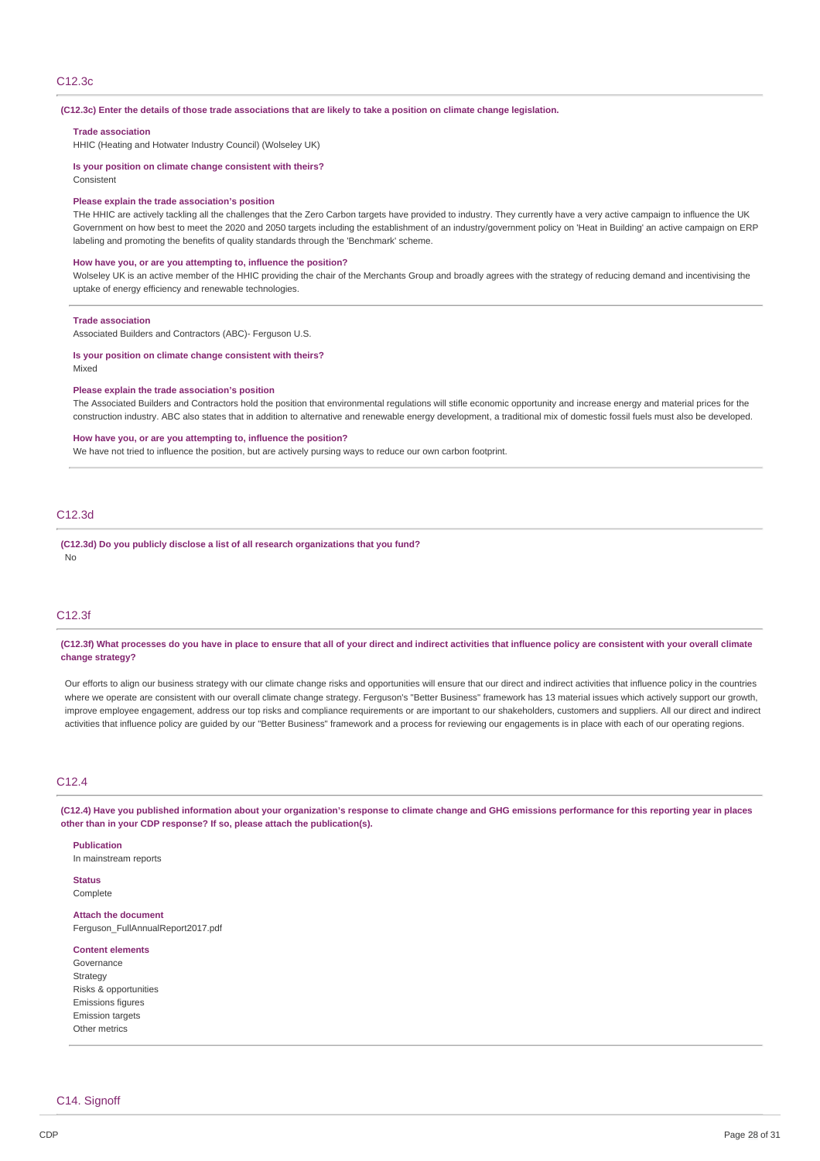## C12.3c

#### (C12.3c) Enter the details of those trade associations that are likely to take a position on climate change legislation.

#### **Trade association**

HHIC (Heating and Hotwater Industry Council) (Wolseley UK)

# **Is your position on climate change consistent with theirs?**

Consistent

## **Please explain the trade association's position**

THe HHIC are actively tackling all the challenges that the Zero Carbon targets have provided to industry. They currently have a very active campaign to influence the UK Government on how best to meet the 2020 and 2050 targets including the establishment of an industry/government policy on 'Heat in Building' an active campaign on ERP labeling and promoting the benefits of quality standards through the 'Benchmark' scheme.

## **How have you, or are you attempting to, influence the position?**

Wolseley UK is an active member of the HHIC providing the chair of the Merchants Group and broadly agrees with the strategy of reducing demand and incentivising the uptake of energy efficiency and renewable technologies.

#### **Trade association**

Associated Builders and Contractors (ABC)- Ferguson U.S.

#### **Is your position on climate change consistent with theirs?** Mixed

## **Please explain the trade association's position**

The Associated Builders and Contractors hold the position that environmental regulations will stifle economic opportunity and increase energy and material prices for the construction industry. ABC also states that in addition to alternative and renewable energy development, a traditional mix of domestic fossil fuels must also be developed.

#### **How have you, or are you attempting to, influence the position?**

We have not tried to influence the position, but are actively pursing ways to reduce our own carbon footprint.

## C12.3d

**(C12.3d) Do you publicly disclose a list of all research organizations that you fund?** No

# C12.3f

## (C12.3f) What processes do you have in place to ensure that all of your direct and indirect activities that influence policy are consistent with your overall climate **change strategy?**

Our efforts to align our business strategy with our climate change risks and opportunities will ensure that our direct and indirect activities that influence policy in the countries where we operate are consistent with our overall climate change strategy. Ferguson's "Better Business" framework has 13 material issues which actively support our growth, improve employee engagement, address our top risks and compliance requirements or are important to our shakeholders, customers and suppliers. All our direct and indirect activities that influence policy are guided by our "Better Business" framework and a process for reviewing our engagements is in place with each of our operating regions.

## C12.4

(C12.4) Have you published information about your organization's response to climate change and GHG emissions performance for this reporting year in places **other than in your CDP response? If so, please attach the publication(s).**

#### **Publication**

In mainstream reports

# **Status**

Complete

**Attach the document** Ferguson\_FullAnnualReport2017.pdf

#### **Content elements**

Governance Strategy Risks & opportunities Emissions figures Emission targets Other metrics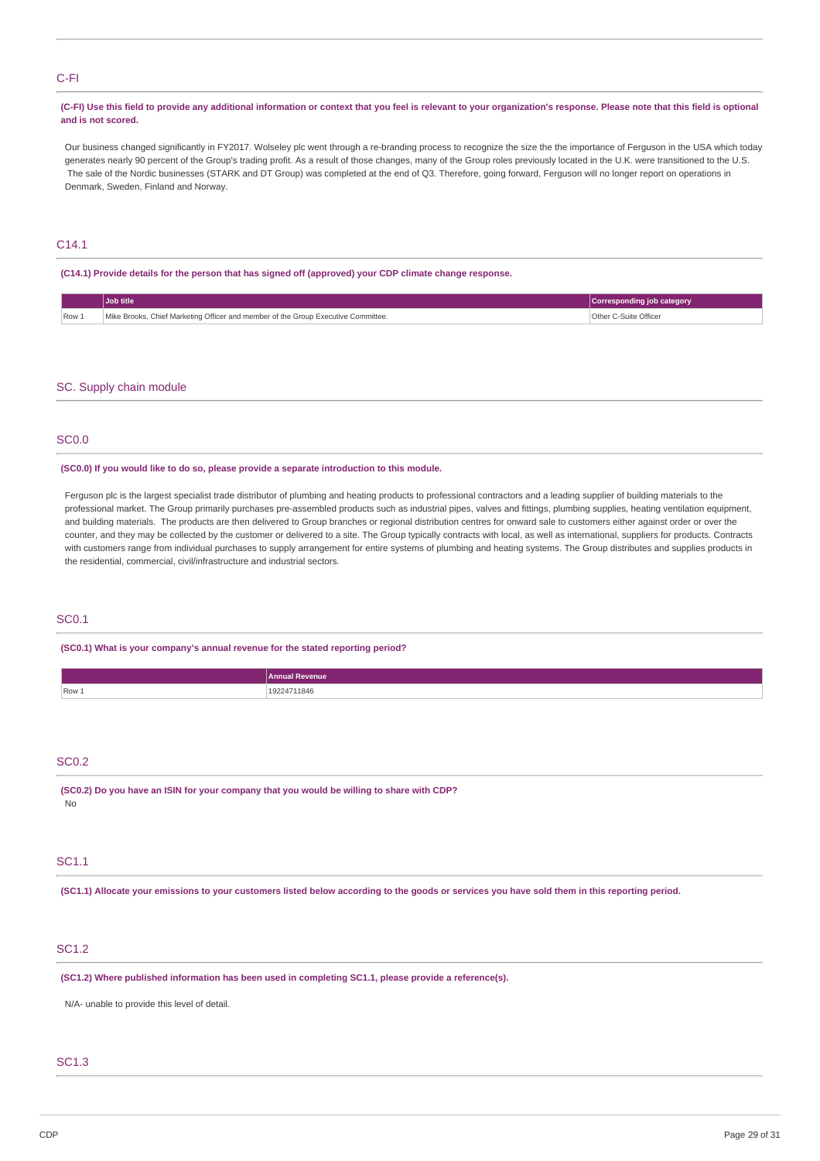## C-FI

## (C-FI) Use this field to provide any additional information or context that you feel is relevant to your organization's response. Please note that this field is optional **and is not scored.**

Our business changed significantly in FY2017. Wolseley plc went through a re-branding process to recognize the size the the importance of Ferguson in the USA which today generates nearly 90 percent of the Group's trading profit. As a result of those changes, many of the Group roles previously located in the U.K. were transitioned to the U.S. The sale of the Nordic businesses (STARK and DT Group) was completed at the end of Q3. Therefore, going forward, Ferguson will no longer report on operations in Denmark, Sweden, Finland and Norway.

# C14.1

**(C14.1) Provide details for the person that has signed off (approved) your CDP climate change response.**

|         | <b>Job title</b>                                                                  | Corresponding job category |
|---------|-----------------------------------------------------------------------------------|----------------------------|
| $Row_1$ | Mike Brooks, Chief Marketing Officer and member of the Group Executive Committee. | Other C-Suite Officer      |

## SC. Supply chain module

# SC0.0

**(SC0.0) If you would like to do so, please provide a separate introduction to this module.**

Ferguson plc is the largest specialist trade distributor of plumbing and heating products to professional contractors and a leading supplier of building materials to the professional market. The Group primarily purchases pre-assembled products such as industrial pipes, valves and fittings, plumbing supplies, heating ventilation equipment, and building materials. The products are then delivered to Group branches or regional distribution centres for onward sale to customers either against order or over the counter, and they may be collected by the customer or delivered to a site. The Group typically contracts with local, as well as international, suppliers for products. Contracts with customers range from individual purchases to supply arrangement for entire systems of plumbing and heating systems. The Group distributes and supplies products in the residential, commercial, civil/infrastructure and industrial sectors.

# SC0.1

**(SC0.1) What is your company's annual revenue for the stated reporting period?**

| . .<br>. 23.AF |
|----------------|
|                |

# SC0.2

**(SC0.2) Do you have an ISIN for your company that you would be willing to share with CDP?** No

## SC1.1

(SC1.1) Allocate your emissions to your customers listed below according to the goods or services you have sold them in this reporting period.

# SC1.2

**(SC1.2) Where published information has been used in completing SC1.1, please provide a reference(s).**

N/A- unable to provide this level of detail.

# SC1.3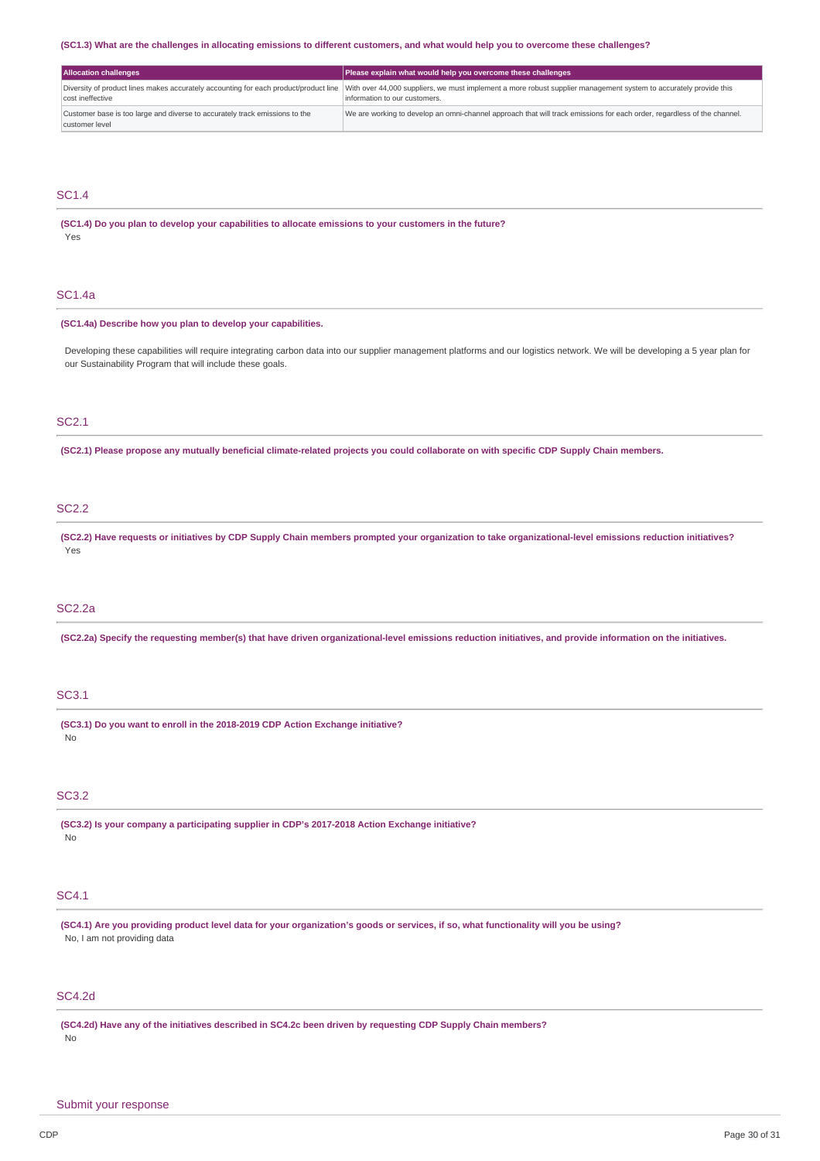### (SC1.3) What are the challenges in allocating emissions to different customers, and what would help you to overcome these challenges?

| <b>Allocation challenges</b>                                                                  | Please explain what would help you overcome these challenges                                                                                                                                                                            |
|-----------------------------------------------------------------------------------------------|-----------------------------------------------------------------------------------------------------------------------------------------------------------------------------------------------------------------------------------------|
| cost ineffective                                                                              | Diversity of product lines makes accurately accounting for each product/product line With over 44,000 suppliers, we must implement a more robust supplier management system to accurately provide this<br>information to our customers. |
| Customer base is too large and diverse to accurately track emissions to the<br>customer level | We are working to develop an omni-channel approach that will track emissions for each order, regardless of the channel.                                                                                                                 |

## SC1.4

**(SC1.4) Do you plan to develop your capabilities to allocate emissions to your customers in the future?** Yes

# SC1.4a

## **(SC1.4a) Describe how you plan to develop your capabilities.**

Developing these capabilities will require integrating carbon data into our supplier management platforms and our logistics network. We will be developing a 5 year plan for our Sustainability Program that will include these goals.

# SC2.1

(SC2.1) Please propose any mutually beneficial climate-related projects you could collaborate on with specific CDP Supply Chain members.

# SC2.2

(SC2.2) Have requests or initiatives by CDP Supply Chain members prompted your organization to take organizational-level emissions reduction initiatives? Yes

## SC2.2a

(SC2.2a) Specify the requesting member(s) that have driven organizational-level emissions reduction initiatives, and provide information on the initiatives.

## SC3.1

**(SC3.1) Do you want to enroll in the 2018-2019 CDP Action Exchange initiative?** No

## SC3.2

**(SC3.2) Is your company a participating supplier in CDP's 2017-2018 Action Exchange initiative?** No

## SC4.1

(SC4.1) Are you providing product level data for your organization's goods or services, if so, what functionality will you be using? No, I am not providing data

## SC4.2d

(SC4.2d) Have any of the initiatives described in SC4.2c been driven by requesting CDP Supply Chain members? No